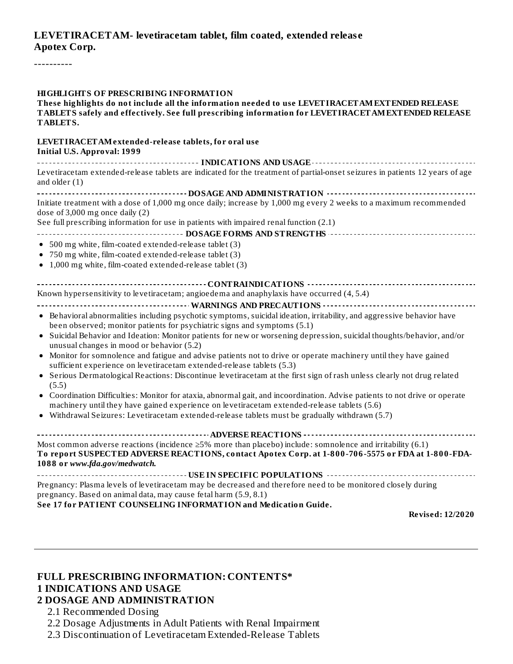### **LEVETIRACETAM- levetiracetam tablet, film coated, extended releas e Apotex Corp.**

----------

#### **HIGHLIGHTS OF PRESCRIBING INFORMATION**

**These highlights do not include all the information needed to use LEVETIRACETAMEXTENDED RELEASE TABLETS safely and effectively. See full prescribing information for LEVETIRACETAMEXTENDED RELEASE TABLETS.**

#### **LEVETIRACETAMextended-release tablets, for oral use Initial U.S. Approval: 1999**

**INDICATIONS AND USAGE** *CONSERVANCE CONSERVANCE <b>CONS* Levetiracetam extended-release tablets are indicated for the treatment of partial-onset seizures in patients 12 years of age and older (1) **DOSAGE AND ADMINISTRATION** Initiate treatment with a dose of 1,000 mg once daily; increase by 1,000 mg every 2 weeks to a maximum recommended dose of 3,000 mg once daily (2) See full prescribing information for use in patients with impaired renal function (2.1) **DOSAGE FORMS AND STRENGTHS** 500 mg white, film-coated extended-release tablet (3) 750 mg white, film-coated extended-release tablet (3) 1,000 mg white, film-coated extended-release tablet (3) **CONTRAINDICATIONS** Known hypersensitivity to levetiracetam; angioedema and anaphylaxis have occurred (4, 5.4) **WARNINGS AND PRECAUTIONS** Behavioral abnormalities including psychotic symptoms, suicidal ideation, irritability, and aggressive behavior have been observed; monitor patients for psychiatric signs and symptoms (5.1) Suicidal Behavior and Ideation: Monitor patients for new or worsening depression, suicidal thoughts/behavior, and/or  $\bullet$ unusual changes in mood or behavior (5.2) Monitor for somnolence and fatigue and advise patients not to drive or operate machinery until they have gained sufficient experience on levetiracetam extended-release tablets (5.3) Serious Dermatological Reactions: Discontinue levetiracetam at the first sign of rash unless clearly not drug related (5.5) Coordination Difficulties: Monitor for ataxia, abnormal gait, and incoordination. Advise patients to not drive or operate machinery until they have gained experience on levetiracetam extended-release tablets (5.6) Withdrawal Seizures: Levetiracetam extended-release tablets must be gradually withdrawn (5.7)  $\bullet$ **ADVERSE REACTIONS** Most common adverse reactions (incidence  $\geq$ 5% more than placebo) include: somnolence and irritability (6.1) **To report SUSPECTED ADVERSE REACTIONS, contact Apotex Corp. at 1-800-706-5575 or FDA at 1-800-FDA-1088 or** *www.fda.gov/medwatch.* **USE IN SPECIFIC POPULATIONS** Pregnancy: Plasma levels of levetiracetam may be decreased and therefore need to be monitored closely during pregnancy. Based on animal data, may cause fetal harm (5.9, 8.1) **See 17 for PATIENT COUNSELING INFORMATION and Medication Guide.**

**Revised: 12/2020**

#### **FULL PRESCRIBING INFORMATION: CONTENTS\* 1 INDICATIONS AND USAGE**

#### **2 DOSAGE AND ADMINISTRATION**

- 2.1 Recommended Dosing
- 2.2 Dosage Adjustments in Adult Patients with Renal Impairment
- 2.3 Discontinuation of Levetiracetam Extended-Release Tablets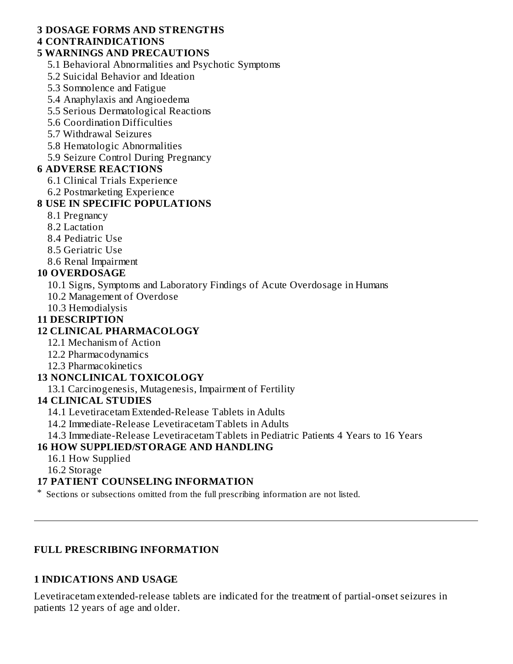### **3 DOSAGE FORMS AND STRENGTHS**

#### **4 CONTRAINDICATIONS**

#### **5 WARNINGS AND PRECAUTIONS**

- 5.1 Behavioral Abnormalities and Psychotic Symptoms
- 5.2 Suicidal Behavior and Ideation
- 5.3 Somnolence and Fatigue
- 5.4 Anaphylaxis and Angioedema
- 5.5 Serious Dermatological Reactions
- 5.6 Coordination Difficulties
- 5.7 Withdrawal Seizures
- 5.8 Hematologic Abnormalities
- 5.9 Seizure Control During Pregnancy

#### **6 ADVERSE REACTIONS**

- 6.1 Clinical Trials Experience
- 6.2 Postmarketing Experience

### **8 USE IN SPECIFIC POPULATIONS**

- 8.1 Pregnancy
- 8.2 Lactation
- 8.4 Pediatric Use
- 8.5 Geriatric Use
- 8.6 Renal Impairment

### **10 OVERDOSAGE**

- 10.1 Signs, Symptoms and Laboratory Findings of Acute Overdosage in Humans
- 10.2 Management of Overdose
- 10.3 Hemodialysis

### **11 DESCRIPTION**

### **12 CLINICAL PHARMACOLOGY**

- 12.1 Mechanism of Action
- 12.2 Pharmacodynamics
- 12.3 Pharmacokinetics

#### **13 NONCLINICAL TOXICOLOGY**

13.1 Carcinogenesis, Mutagenesis, Impairment of Fertility

#### **14 CLINICAL STUDIES**

- 14.1 Levetiracetam Extended-Release Tablets in Adults
- 14.2 Immediate-Release Levetiracetam Tablets in Adults
- 14.3 Immediate-Release Levetiracetam Tablets in Pediatric Patients 4 Years to 16 Years

### **16 HOW SUPPLIED/STORAGE AND HANDLING**

- 16.1 How Supplied
- 16.2 Storage

### **17 PATIENT COUNSELING INFORMATION**

\* Sections or subsections omitted from the full prescribing information are not listed.

### **FULL PRESCRIBING INFORMATION**

#### **1 INDICATIONS AND USAGE**

Levetiracetam extended-release tablets are indicated for the treatment of partial-onset seizures in patients 12 years of age and older.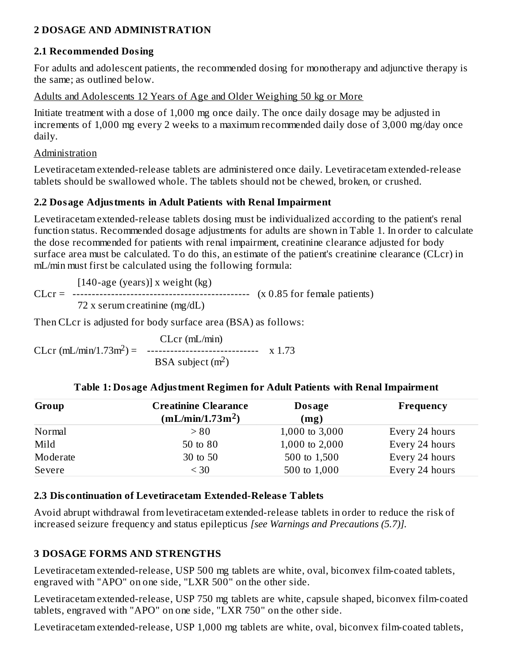### **2 DOSAGE AND ADMINISTRATION**

### **2.1 Recommended Dosing**

For adults and adolescent patients, the recommended dosing for monotherapy and adjunctive therapy is the same; as outlined below.

Adults and Adolescents 12 Years of Age and Older Weighing 50 kg or More

Initiate treatment with a dose of 1,000 mg once daily. The once daily dosage may be adjusted in increments of 1,000 mg every 2 weeks to a maximum recommended daily dose of 3,000 mg/day once daily.

#### Administration

Levetiracetam extended-release tablets are administered once daily. Levetiracetam extended-release tablets should be swallowed whole. The tablets should not be chewed, broken, or crushed.

### **2.2 Dosage Adjustments in Adult Patients with Renal Impairment**

Levetiracetam extended-release tablets dosing must be individualized according to the patient's renal function status. Recommended dosage adjustments for adults are shown in Table 1. In order to calculate the dose recommended for patients with renal impairment, creatinine clearance adjusted for body surface area must be calculated. To do this, an estimate of the patient's creatinine clearance (CLcr) in mL/min must first be calculated using the following formula:

 $[140$ -age (years)] x weight (kg) CLcr = ---------------------------------------------- (x 0.85 for female patients) 72 x serum creatinine (mg/dL)

Then CLcr is adjusted for body surface area (BSA) as follows:

CLcr (mL/min) CLcr (mL/min/1.73m<sup>2</sup>) = ------------------------------- x 1.73 BSA subject  $(m<sup>2</sup>)$ 

| Group    | <b>Creatinine Clearance</b>  | Dosage         | Frequency      |
|----------|------------------------------|----------------|----------------|
|          | (mL/min/1.73m <sup>2</sup> ) | (mg)           |                |
| Normal   | > 80                         | 1,000 to 3,000 | Every 24 hours |
| Mild     | 50 to 80                     | 1,000 to 2,000 | Every 24 hours |
| Moderate | 30 to 50                     | 500 to 1,500   | Every 24 hours |
| Severe   | $<$ 30                       | 500 to 1,000   | Every 24 hours |

#### **Table 1: Dosage Adjustment Regimen for Adult Patients with Renal Impairment**

#### **2.3 Dis continuation of Levetiracetam Extended-Releas e Tablets**

Avoid abrupt withdrawal from levetiracetam extended-release tablets in order to reduce the risk of increased seizure frequency and status epilepticus *[see Warnings and Precautions (5.7)].*

### **3 DOSAGE FORMS AND STRENGTHS**

Levetiracetam extended-release, USP 500 mg tablets are white, oval, biconvex film-coated tablets, engraved with "APO" on one side, "LXR 500" on the other side.

Levetiracetam extended-release, USP 750 mg tablets are white, capsule shaped, biconvex film-coated tablets, engraved with "APO" on one side, "LXR 750" on the other side.

Levetiracetam extended-release, USP 1,000 mg tablets are white, oval, biconvex film-coated tablets,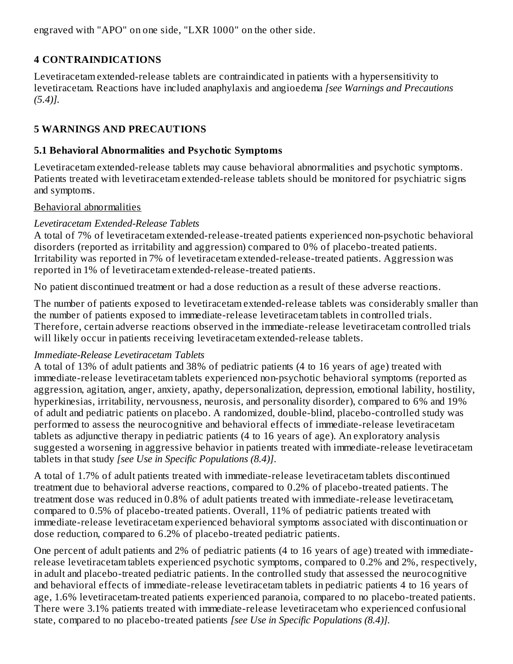engraved with "APO" on one side, "LXR 1000" on the other side.

### **4 CONTRAINDICATIONS**

Levetiracetam extended-release tablets are contraindicated in patients with a hypersensitivity to levetiracetam. Reactions have included anaphylaxis and angioedema *[see Warnings and Precautions (5.4)].*

### **5 WARNINGS AND PRECAUTIONS**

#### **5.1 Behavioral Abnormalities and Psychotic Symptoms**

Levetiracetam extended-release tablets may cause behavioral abnormalities and psychotic symptoms. Patients treated with levetiracetam extended-release tablets should be monitored for psychiatric signs and symptoms.

#### Behavioral abnormalities

#### *Levetiracetam Extended-Release Tablets*

A total of 7% of levetiracetam extended-release-treated patients experienced non-psychotic behavioral disorders (reported as irritability and aggression) compared to 0% of placebo-treated patients. Irritability was reported in 7% of levetiracetam extended-release-treated patients. Aggression was reported in 1% of levetiracetam extended-release-treated patients.

No patient discontinued treatment or had a dose reduction as a result of these adverse reactions.

The number of patients exposed to levetiracetam extended-release tablets was considerably smaller than the number of patients exposed to immediate-release levetiracetam tablets in controlled trials. Therefore, certain adverse reactions observed in the immediate-release levetiracetam controlled trials will likely occur in patients receiving levetiracetam extended-release tablets.

#### *Immediate-Release Levetiracetam Tablets*

A total of 13% of adult patients and 38% of pediatric patients (4 to 16 years of age) treated with immediate-release levetiracetam tablets experienced non-psychotic behavioral symptoms (reported as aggression, agitation, anger, anxiety, apathy, depersonalization, depression, emotional lability, hostility, hyperkinesias, irritability, nervousness, neurosis, and personality disorder), compared to 6% and 19% of adult and pediatric patients on placebo. A randomized, double-blind, placebo-controlled study was performed to assess the neurocognitive and behavioral effects of immediate-release levetiracetam tablets as adjunctive therapy in pediatric patients (4 to 16 years of age). An exploratory analysis suggested a worsening in aggressive behavior in patients treated with immediate-release levetiracetam tablets in that study *[see Use in Specific Populations (8.4)]*.

A total of 1.7% of adult patients treated with immediate-release levetiracetam tablets discontinued treatment due to behavioral adverse reactions, compared to 0.2% of placebo-treated patients. The treatment dose was reduced in 0.8% of adult patients treated with immediate-release levetiracetam, compared to 0.5% of placebo-treated patients. Overall, 11% of pediatric patients treated with immediate-release levetiracetam experienced behavioral symptoms associated with discontinuation or dose reduction, compared to 6.2% of placebo-treated pediatric patients.

One percent of adult patients and 2% of pediatric patients (4 to 16 years of age) treated with immediaterelease levetiracetam tablets experienced psychotic symptoms, compared to 0.2% and 2%, respectively, in adult and placebo-treated pediatric patients. In the controlled study that assessed the neurocognitive and behavioral effects of immediate-release levetiracetam tablets in pediatric patients 4 to 16 years of age, 1.6% levetiracetam-treated patients experienced paranoia, compared to no placebo-treated patients. There were 3.1% patients treated with immediate-release levetiracetam who experienced confusional state, compared to no placebo-treated patients *[see Use in Specific Populations (8.4)].*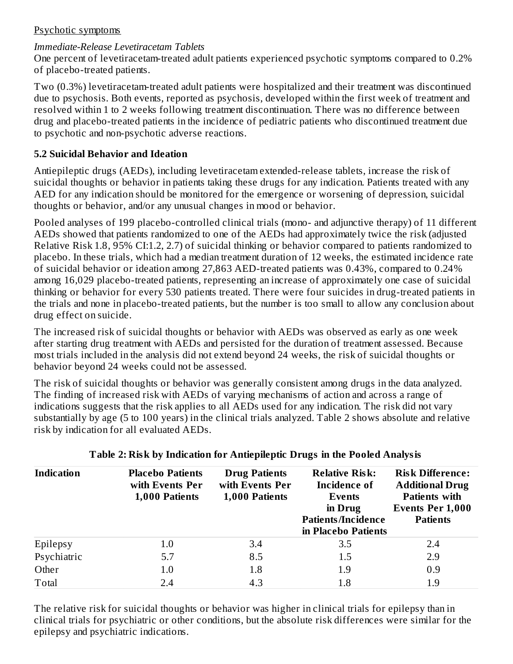### Psychotic symptoms

### *Immediate-Release Levetiracetam Tablets*

One percent of levetiracetam-treated adult patients experienced psychotic symptoms compared to 0.2% of placebo-treated patients.

Two (0.3%) levetiracetam-treated adult patients were hospitalized and their treatment was discontinued due to psychosis. Both events, reported as psychosis, developed within the first week of treatment and resolved within 1 to 2 weeks following treatment discontinuation. There was no difference between drug and placebo-treated patients in the incidence of pediatric patients who discontinued treatment due to psychotic and non-psychotic adverse reactions.

### **5.2 Suicidal Behavior and Ideation**

Antiepileptic drugs (AEDs), including levetiracetam extended-release tablets, increase the risk of suicidal thoughts or behavior in patients taking these drugs for any indication. Patients treated with any AED for any indication should be monitored for the emergence or worsening of depression, suicidal thoughts or behavior, and/or any unusual changes in mood or behavior.

Pooled analyses of 199 placebo-controlled clinical trials (mono- and adjunctive therapy) of 11 different AEDs showed that patients randomized to one of the AEDs had approximately twice the risk (adjusted Relative Risk 1.8, 95% CI:1.2, 2.7) of suicidal thinking or behavior compared to patients randomized to placebo. In these trials, which had a median treatment duration of 12 weeks, the estimated incidence rate of suicidal behavior or ideation among 27,863 AED-treated patients was 0.43%, compared to 0.24% among 16,029 placebo-treated patients, representing an increase of approximately one case of suicidal thinking or behavior for every 530 patients treated. There were four suicides in drug-treated patients in the trials and none in placebo-treated patients, but the number is too small to allow any conclusion about drug effect on suicide.

The increased risk of suicidal thoughts or behavior with AEDs was observed as early as one week after starting drug treatment with AEDs and persisted for the duration of treatment assessed. Because most trials included in the analysis did not extend beyond 24 weeks, the risk of suicidal thoughts or behavior beyond 24 weeks could not be assessed.

The risk of suicidal thoughts or behavior was generally consistent among drugs in the data analyzed. The finding of increased risk with AEDs of varying mechanisms of action and across a range of indications suggests that the risk applies to all AEDs used for any indication. The risk did not vary substantially by age (5 to 100 years) in the clinical trials analyzed. Table 2 shows absolute and relative risk by indication for all evaluated AEDs.

| <b>Indication</b> | <b>Placebo Patients</b><br>with Events Per<br>1,000 Patients | <b>Drug Patients</b><br>with Events Per<br>1,000 Patients | <b>Relative Risk:</b><br><b>Incidence of</b><br>Events<br>in Drug<br><b>Patients/Incidence</b><br>in Placebo Patients | <b>Risk Difference:</b><br><b>Additional Drug</b><br><b>Patients with</b><br><b>Events Per 1,000</b><br><b>Patients</b> |
|-------------------|--------------------------------------------------------------|-----------------------------------------------------------|-----------------------------------------------------------------------------------------------------------------------|-------------------------------------------------------------------------------------------------------------------------|
| Epilepsy          | 1.0                                                          | 3.4                                                       | 3.5                                                                                                                   | 2.4                                                                                                                     |
| Psychiatric       | 5.7                                                          | 8.5                                                       | 1.5                                                                                                                   | 2.9                                                                                                                     |
| Other             | 1.0                                                          | 1.8                                                       | 1.9                                                                                                                   | 0.9                                                                                                                     |
| Total             | 2.4                                                          | 4.3                                                       | 1.8                                                                                                                   | 1.9                                                                                                                     |

#### **Table 2: Risk by Indication for Antiepileptic Drugs in the Pooled Analysis**

The relative risk for suicidal thoughts or behavior was higher in clinical trials for epilepsy than in clinical trials for psychiatric or other conditions, but the absolute risk differences were similar for the epilepsy and psychiatric indications.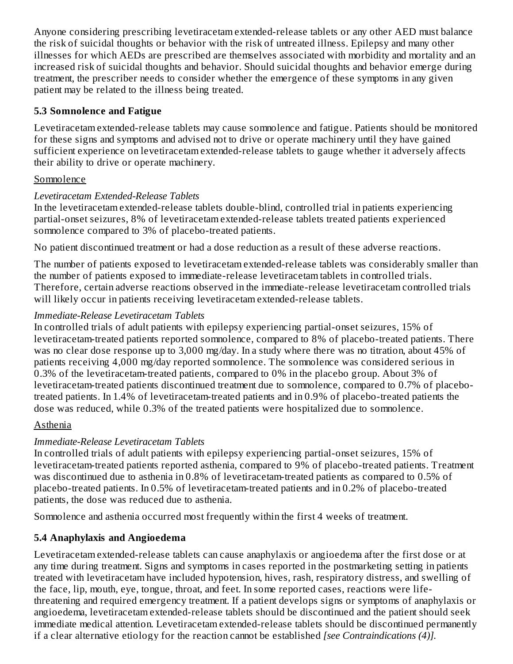Anyone considering prescribing levetiracetam extended-release tablets or any other AED must balance the risk of suicidal thoughts or behavior with the risk of untreated illness. Epilepsy and many other illnesses for which AEDs are prescribed are themselves associated with morbidity and mortality and an increased risk of suicidal thoughts and behavior. Should suicidal thoughts and behavior emerge during treatment, the prescriber needs to consider whether the emergence of these symptoms in any given patient may be related to the illness being treated.

### **5.3 Somnolence and Fatigue**

Levetiracetam extended-release tablets may cause somnolence and fatigue. Patients should be monitored for these signs and symptoms and advised not to drive or operate machinery until they have gained sufficient experience on levetiracetam extended-release tablets to gauge whether it adversely affects their ability to drive or operate machinery.

### **Somnolence**

### *Levetiracetam Extended-Release Tablets*

In the levetiracetam extended-release tablets double-blind, controlled trial in patients experiencing partial-onset seizures, 8% of levetiracetam extended-release tablets treated patients experienced somnolence compared to 3% of placebo-treated patients.

No patient discontinued treatment or had a dose reduction as a result of these adverse reactions.

The number of patients exposed to levetiracetam extended-release tablets was considerably smaller than the number of patients exposed to immediate-release levetiracetam tablets in controlled trials. Therefore, certain adverse reactions observed in the immediate-release levetiracetam controlled trials will likely occur in patients receiving levetiracetam extended-release tablets.

### *Immediate-Release Levetiracetam Tablets*

In controlled trials of adult patients with epilepsy experiencing partial-onset seizures, 15% of levetiracetam-treated patients reported somnolence, compared to 8% of placebo-treated patients. There was no clear dose response up to 3,000 mg/day. In a study where there was no titration, about 45% of patients receiving 4,000 mg/day reported somnolence. The somnolence was considered serious in 0.3% of the levetiracetam-treated patients, compared to 0% in the placebo group. About 3% of levetiracetam-treated patients discontinued treatment due to somnolence, compared to 0.7% of placebotreated patients. In 1.4% of levetiracetam-treated patients and in 0.9% of placebo-treated patients the dose was reduced, while 0.3% of the treated patients were hospitalized due to somnolence.

### Asthenia

### *Immediate-Release Levetiracetam Tablets*

In controlled trials of adult patients with epilepsy experiencing partial-onset seizures, 15% of levetiracetam-treated patients reported asthenia, compared to 9% of placebo-treated patients. Treatment was discontinued due to asthenia in 0.8% of levetiracetam-treated patients as compared to 0.5% of placebo-treated patients. In 0.5% of levetiracetam-treated patients and in 0.2% of placebo-treated patients, the dose was reduced due to asthenia.

Somnolence and asthenia occurred most frequently within the first 4 weeks of treatment.

### **5.4 Anaphylaxis and Angioedema**

Levetiracetam extended-release tablets can cause anaphylaxis or angioedema after the first dose or at any time during treatment. Signs and symptoms in cases reported in the postmarketing setting in patients treated with levetiracetam have included hypotension, hives, rash, respiratory distress, and swelling of the face, lip, mouth, eye, tongue, throat, and feet. In some reported cases, reactions were lifethreatening and required emergency treatment. If a patient develops signs or symptoms of anaphylaxis or angioedema, levetiracetam extended-release tablets should be discontinued and the patient should seek immediate medical attention. Levetiracetam extended-release tablets should be discontinued permanently if a clear alternative etiology for the reaction cannot be established *[see Contraindications (4)].*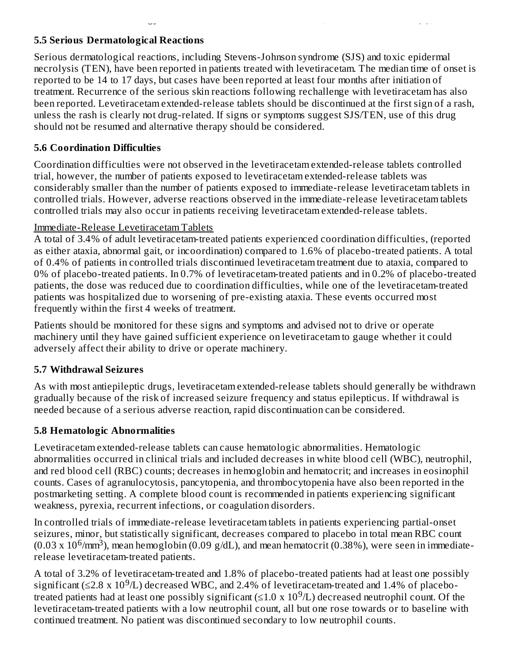### **5.5 Serious Dermatological Reactions**

Serious dermatological reactions, including Stevens-Johnson syndrome (SJS) and toxic epidermal necrolysis (TEN), have been reported in patients treated with levetiracetam. The median time of onset is reported to be 14 to 17 days, but cases have been reported at least four months after initiation of treatment. Recurrence of the serious skin reactions following rechallenge with levetiracetam has also been reported. Levetiracetam extended-release tablets should be discontinued at the first sign of a rash, unless the rash is clearly not drug-related. If signs or symptoms suggest SJS/TEN, use of this drug should not be resumed and alternative therapy should be considered.

if a clear alternative etiology for the reaction cannot be established *[see Contraindications (4)].*

### **5.6 Coordination Difficulties**

Coordination difficulties were not observed in the levetiracetam extended-release tablets controlled trial, however, the number of patients exposed to levetiracetam extended-release tablets was considerably smaller than the number of patients exposed to immediate-release levetiracetam tablets in controlled trials. However, adverse reactions observed in the immediate-release levetiracetam tablets controlled trials may also occur in patients receiving levetiracetam extended-release tablets.

### Immediate-Release Levetiracetam Tablets

A total of 3.4% of adult levetiracetam-treated patients experienced coordination difficulties, (reported as either ataxia, abnormal gait, or incoordination) compared to 1.6% of placebo-treated patients. A total of 0.4% of patients in controlled trials discontinued levetiracetam treatment due to ataxia, compared to 0% of placebo-treated patients. In 0.7% of levetiracetam-treated patients and in 0.2% of placebo-treated patients, the dose was reduced due to coordination difficulties, while one of the levetiracetam-treated patients was hospitalized due to worsening of pre-existing ataxia. These events occurred most frequently within the first 4 weeks of treatment.

Patients should be monitored for these signs and symptoms and advised not to drive or operate machinery until they have gained sufficient experience on levetiracetam to gauge whether it could adversely affect their ability to drive or operate machinery.

### **5.7 Withdrawal Seizures**

As with most antiepileptic drugs, levetiracetam extended-release tablets should generally be withdrawn gradually because of the risk of increased seizure frequency and status epilepticus. If withdrawal is needed because of a serious adverse reaction, rapid discontinuation can be considered.

### **5.8 Hematologic Abnormalities**

Levetiracetam extended-release tablets can cause hematologic abnormalities. Hematologic abnormalities occurred in clinical trials and included decreases in white blood cell (WBC), neutrophil, and red blood cell (RBC) counts; decreases in hemoglobin and hematocrit; and increases in eosinophil counts. Cases of agranulocytosis, pancytopenia, and thrombocytopenia have also been reported in the postmarketing setting. A complete blood count is recommended in patients experiencing significant weakness, pyrexia, recurrent infections, or coagulation disorders.

In controlled trials of immediate-release levetiracetam tablets in patients experiencing partial-onset seizures, minor, but statistically significant, decreases compared to placebo in total mean RBC count (0.03 x 10<sup>6</sup>/mm<sup>3</sup>), mean hemoglobin (0.09 g/dL), and mean hematocrit (0.38%), were seen in immediaterelease levetiracetam-treated patients.

A total of 3.2% of levetiracetam-treated and 1.8% of placebo-treated patients had at least one possibly significant (≤2.8 x 10<sup>9</sup>/L) decreased WBC, and 2.4% of levetiracetam-treated and 1.4% of placebotreated patients had at least one possibly significant ( $\leq 1.0 \times 10^9$ /L) decreased neutrophil count. Of the levetiracetam-treated patients with a low neutrophil count, all but one rose towards or to baseline with continued treatment. No patient was discontinued secondary to low neutrophil counts.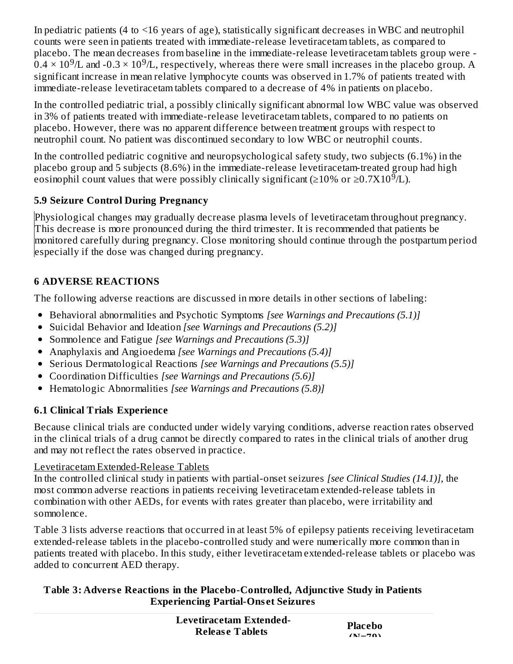In pediatric patients (4 to <16 years of age), statistically significant decreases in WBC and neutrophil counts were seen in patients treated with immediate-release levetiracetam tablets, as compared to placebo. The mean decreases from baseline in the immediate-release levetiracetam tablets group were -  $0.4 \times 10^9$ /L and -0.3  $\times$  10 $^9$ /L, respectively, whereas there were small increases in the placebo group. A significant increase in mean relative lymphocyte counts was observed in 1.7% of patients treated with immediate-release levetiracetam tablets compared to a decrease of 4% in patients on placebo.

In the controlled pediatric trial, a possibly clinically significant abnormal low WBC value was observed in 3% of patients treated with immediate-release levetiracetam tablets, compared to no patients on placebo. However, there was no apparent difference between treatment groups with respect to neutrophil count. No patient was discontinued secondary to low WBC or neutrophil counts.

In the controlled pediatric cognitive and neuropsychological safety study, two subjects (6.1%) in the placebo group and 5 subjects (8.6%) in the immediate-release levetiracetam-treated group had high eosinophil count values that were possibly clinically significant (≥10% or ≥0.7X10<sup>9</sup>/L).

## **5.9 Seizure Control During Pregnancy**

Physiological changes may gradually decrease plasma levels of levetiracetam throughout pregnancy. This decrease is more pronounced during the third trimester. It is recommended that patients be monitored carefully during pregnancy. Close monitoring should continue through the postpartum period especially if the dose was changed during pregnancy.

## **6 ADVERSE REACTIONS**

The following adverse reactions are discussed in more details in other sections of labeling:

- Behavioral abnormalities and Psychotic Symptoms *[see Warnings and Precautions (5.1)]*
- Suicidal Behavior and Ideation *[see Warnings and Precautions (5.2)]*
- Somnolence and Fatigue *[see Warnings and Precautions (5.3)]*
- Anaphylaxis and Angioedema *[see Warnings and Precautions (5.4)]*
- Serious Dermatological Reactions *[see Warnings and Precautions (5.5)]*
- Coordination Difficulties *[see Warnings and Precautions (5.6)]*
- Hematologic Abnormalities *[see Warnings and Precautions (5.8)]*

# **6.1 Clinical Trials Experience**

Because clinical trials are conducted under widely varying conditions, adverse reaction rates observed in the clinical trials of a drug cannot be directly compared to rates in the clinical trials of another drug and may not reflect the rates observed in practice.

## Levetiracetam Extended-Release Tablets

In the controlled clinical study in patients with partial-onset seizures *[see Clinical Studies (14.1)]*, the most common adverse reactions in patients receiving levetiracetam extended-release tablets in combination with other AEDs, for events with rates greater than placebo, were irritability and somnolence.

Table 3 lists adverse reactions that occurred in at least 5% of epilepsy patients receiving levetiracetam extended-release tablets in the placebo-controlled study and were numerically more common than in patients treated with placebo. In this study, either levetiracetam extended-release tablets or placebo was added to concurrent AED therapy.

### **Table 3: Advers e Reactions in the Placebo-Controlled, Adjunctive Study in Patients Experiencing Partial-Ons et Seizures**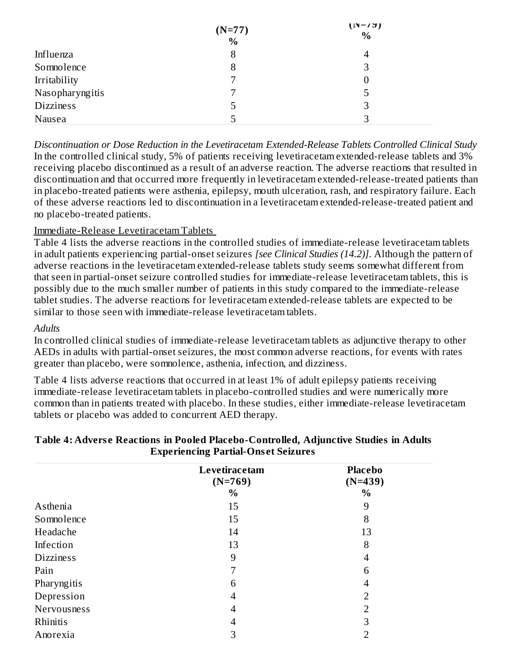|                  | $(N=77)$<br>$\frac{0}{0}$ | $(11 - 7)$<br>$\%$ |
|------------------|---------------------------|--------------------|
| Influenza        |                           | 4                  |
| Somnolence       |                           | 3                  |
| Irritability     |                           | 0                  |
| Nasopharyngitis  |                           | 5                  |
| <b>Dizziness</b> | 5                         | 3                  |
| Nausea           |                           | 3                  |

*Discontinuation or Dose Reduction in the Levetiracetam Extended-Release Tablets Controlled Clinical Study* In the controlled clinical study, 5% of patients receiving levetiracetam extended-release tablets and 3% receiving placebo discontinued as a result of an adverse reaction. The adverse reactions that resulted in discontinuation and that occurred more frequently in levetiracetam extended-release-treated patients than in placebo-treated patients were asthenia, epilepsy, mouth ulceration, rash, and respiratory failure. Each of these adverse reactions led to discontinuation in a levetiracetam extended-release-treated patient and no placebo-treated patients.

**(N=79)**

### Immediate-Release Levetiracetam Tablets

Table 4 lists the adverse reactions in the controlled studies of immediate-release levetiracetam tablets in adult patients experiencing partial-onset seizures *[see Clinical Studies (14.2)]*. Although the pattern of adverse reactions in the levetiracetam extended-release tablets study seems somewhat different from that seen in partial-onset seizure controlled studies for immediate-release levetiracetam tablets, this is possibly due to the much smaller number of patients in this study compared to the immediate-release tablet studies. The adverse reactions for levetiracetam extended-release tablets are expected to be similar to those seen with immediate-release levetiracetam tablets.

#### *Adults*

In controlled clinical studies of immediate-release levetiracetam tablets as adjunctive therapy to other AEDs in adults with partial-onset seizures, the most common adverse reactions, for events with rates greater than placebo, were somnolence, asthenia, infection, and dizziness.

Table 4 lists adverse reactions that occurred in at least 1% of adult epilepsy patients receiving immediate-release levetiracetam tablets in placebo-controlled studies and were numerically more common than in patients treated with placebo. In these studies, either immediate-release levetiracetam tablets or placebo was added to concurrent AED therapy.

|                  | л.<br>o                    |                             |  |
|------------------|----------------------------|-----------------------------|--|
|                  | Levetiracetam<br>$(N=769)$ | <b>Placebo</b><br>$(N=439)$ |  |
|                  | $\%$                       | $\%$                        |  |
| Asthenia         | 15                         | 9                           |  |
| Somnolence       | 15                         | 8                           |  |
| Headache         | 14                         | 13                          |  |
| Infection        | 13                         | 8                           |  |
| <b>Dizziness</b> | 9                          | 4                           |  |
| Pain             | 7                          | 6                           |  |
| Pharyngitis      | 6                          | 4                           |  |
| Depression       | 4                          | ר                           |  |
| Nervousness      | 4                          | 2                           |  |
| Rhinitis         | 4                          | З                           |  |
| Anorexia         | З                          |                             |  |

#### **Table 4: Advers e Reactions in Pooled Placebo-Controlled, Adjunctive Studies in Adults Experiencing Partial-Ons et Seizures**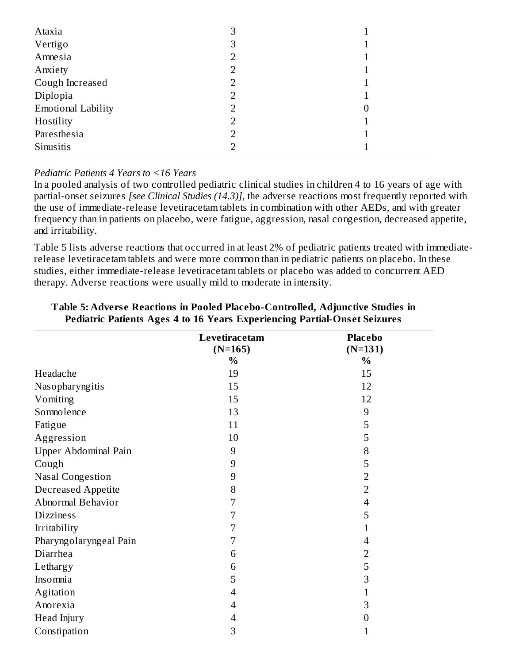| Ataxia                    | З |   |
|---------------------------|---|---|
| Vertigo                   | 3 |   |
| Amnesia                   |   |   |
| Anxiety                   |   |   |
| Cough Increased           |   |   |
| Diplopia                  |   |   |
| <b>Emotional Lability</b> |   | 0 |
| Hostility                 |   |   |
| Paresthesia               |   |   |
| Sinusitis                 |   |   |

#### *Pediatric Patients 4 Years to <16 Years*

In a pooled analysis of two controlled pediatric clinical studies in children 4 to 16 years of age with partial-onset seizures *[see Clinical Studies (14.3)]*, the adverse reactions most frequently reported with the use of immediate-release levetiracetam tablets in combination with other AEDs, and with greater frequency than in patients on placebo, were fatigue, aggression, nasal congestion, decreased appetite, and irritability.

Table 5 lists adverse reactions that occurred in at least 2% of pediatric patients treated with immediaterelease levetiracetam tablets and were more common than in pediatric patients on placebo. In these studies, either immediate-release levetiracetam tablets or placebo was added to concurrent AED therapy. Adverse reactions were usually mild to moderate in intensity.

|                           | Levetiracetam  | <b>Placebo</b> |
|---------------------------|----------------|----------------|
|                           | $(N=165)$      | $(N=131)$      |
|                           | $\%$           | $\%$           |
| Headache                  | 19             | 15             |
| Nasopharyngitis           | 15             | 12             |
| Vomiting                  | 15             | 12             |
| Somnolence                | 13             | 9              |
| Fatigue                   | 11             | 5              |
| Aggression                | 10             | 5              |
| Upper Abdominal Pain      | 9              | 8              |
| Cough                     | 9              | 5              |
| <b>Nasal Congestion</b>   | 9              | $\overline{2}$ |
| <b>Decreased Appetite</b> | 8              | $\overline{2}$ |
| Abnormal Behavior         | 7              | $\overline{4}$ |
| <b>Dizziness</b>          | 7              | 5              |
| Irritability              | 7              | 1              |
| Pharyngolaryngeal Pain    | $\overline{7}$ | $\overline{4}$ |
| Diarrhea                  | 6              | $\overline{2}$ |
| Lethargy                  | 6              | 5              |
| Insomnia                  | 5              | 3              |
| Agitation                 | 4              | $\mathbf{1}$   |
| Anorexia                  | 4              | 3              |
| Head Injury               | 4              | 0              |
| Constipation              | 3              | 1              |

#### **Table 5: Advers e Reactions in Pooled Placebo-Controlled, Adjunctive Studies in Pediatric Patients Ages 4 to 16 Years Experiencing Partial-Ons et Seizures**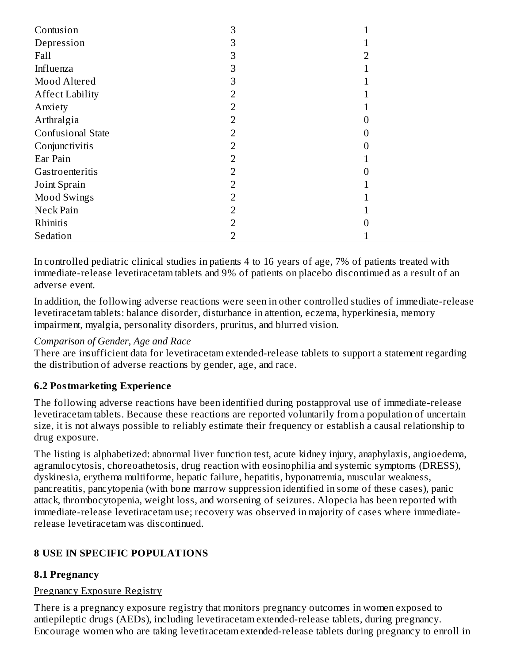| Contusion                | З |  |
|--------------------------|---|--|
| Depression               |   |  |
| Fall                     | З |  |
| Influenza                | З |  |
| Mood Altered             | З |  |
| <b>Affect Lability</b>   |   |  |
| Anxiety                  |   |  |
| Arthralgia               | 2 |  |
| <b>Confusional State</b> |   |  |
| Conjunctivitis           |   |  |
| Ear Pain                 |   |  |
| Gastroenteritis          |   |  |
| Joint Sprain             | フ |  |
| <b>Mood Swings</b>       |   |  |
| Neck Pain                |   |  |
| Rhinitis                 |   |  |
| Sedation                 |   |  |

In controlled pediatric clinical studies in patients 4 to 16 years of age, 7% of patients treated with immediate-release levetiracetam tablets and 9% of patients on placebo discontinued as a result of an adverse event.

In addition, the following adverse reactions were seen in other controlled studies of immediate-release levetiracetam tablets: balance disorder, disturbance in attention, eczema, hyperkinesia, memory impairment, myalgia, personality disorders, pruritus, and blurred vision.

#### *Comparison of Gender, Age and Race*

There are insufficient data for levetiracetam extended-release tablets to support a statement regarding the distribution of adverse reactions by gender, age, and race.

### **6.2 Postmarketing Experience**

The following adverse reactions have been identified during postapproval use of immediate-release levetiracetam tablets. Because these reactions are reported voluntarily from a population of uncertain size, it is not always possible to reliably estimate their frequency or establish a causal relationship to drug exposure.

The listing is alphabetized: abnormal liver function test, acute kidney injury, anaphylaxis, angioedema, agranulocytosis, choreoathetosis, drug reaction with eosinophilia and systemic symptoms (DRESS), dyskinesia, erythema multiforme, hepatic failure, hepatitis, hyponatremia, muscular weakness, pancreatitis, pancytopenia (with bone marrow suppression identified in some of these cases), panic attack, thrombocytopenia, weight loss, and worsening of seizures. Alopecia has been reported with immediate-release levetiracetam use; recovery was observed in majority of cases where immediaterelease levetiracetam was discontinued.

### **8 USE IN SPECIFIC POPULATIONS**

### **8.1 Pregnancy**

#### Pregnancy Exposure Registry

There is a pregnancy exposure registry that monitors pregnancy outcomes in women exposed to antiepileptic drugs (AEDs), including levetiracetam extended-release tablets, during pregnancy. Encourage women who are taking levetiracetam extended-release tablets during pregnancy to enroll in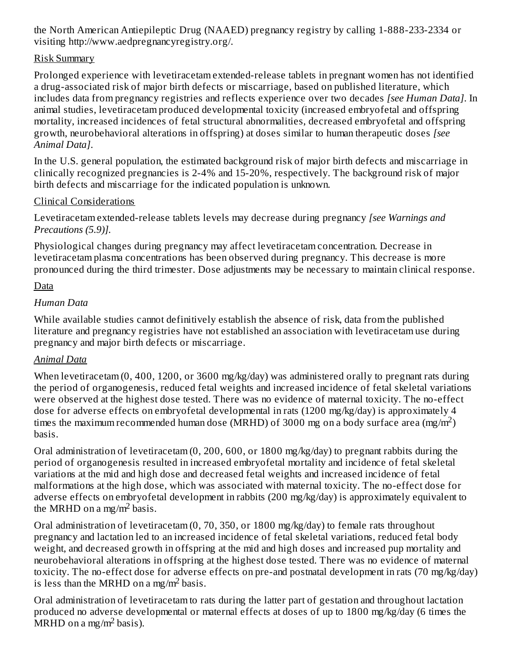the North American Antiepileptic Drug (NAAED) pregnancy registry by calling 1-888-233-2334 or visiting http://www.aedpregnancyregistry.org/.

### Risk Summary

Prolonged experience with levetiracetam extended-release tablets in pregnant women has not identified a drug-associated risk of major birth defects or miscarriage, based on published literature, which includes data from pregnancy registries and reflects experience over two decades *[see Human Data]*. In animal studies, levetiracetam produced developmental toxicity (increased embryofetal and offspring mortality, increased incidences of fetal structural abnormalities, decreased embryofetal and offspring growth, neurobehavioral alterations in offspring) at doses similar to human therapeutic doses *[see Animal Data]*.

In the U.S. general population, the estimated background risk of major birth defects and miscarriage in clinically recognized pregnancies is 2-4% and 15-20%, respectively. The background risk of major birth defects and miscarriage for the indicated population is unknown.

### Clinical Considerations

Levetiracetam extended-release tablets levels may decrease during pregnancy *[see Warnings and Precautions (5.9)].*

Physiological changes during pregnancy may affect levetiracetam concentration. Decrease in levetiracetam plasma concentrations has been observed during pregnancy. This decrease is more pronounced during the third trimester. Dose adjustments may be necessary to maintain clinical response.

### Data

### *Human Data*

While available studies cannot definitively establish the absence of risk, data from the published literature and pregnancy registries have not established an association with levetiracetam use during pregnancy and major birth defects or miscarriage.

### *Animal Data*

When levetiracetam (0, 400, 1200, or 3600 mg/kg/day) was administered orally to pregnant rats during the period of organogenesis, reduced fetal weights and increased incidence of fetal skeletal variations were observed at the highest dose tested. There was no evidence of maternal toxicity. The no-effect dose for adverse effects on embryofetal developmental in rats (1200 mg/kg/day) is approximately 4 times the maximum recommended human dose (MRHD) of 3000 mg on a body surface area (mg/m<sup>2</sup>) basis.

Oral administration of levetiracetam (0, 200, 600, or 1800 mg/kg/day) to pregnant rabbits during the period of organogenesis resulted in increased embryofetal mortality and incidence of fetal skeletal variations at the mid and high dose and decreased fetal weights and increased incidence of fetal malformations at the high dose, which was associated with maternal toxicity. The no-effect dose for adverse effects on embryofetal development in rabbits (200 mg/kg/day) is approximately equivalent to the MRHD on a mg/m<sup>2</sup> basis.

Oral administration of levetiracetam (0, 70, 350, or 1800 mg/kg/day) to female rats throughout pregnancy and lactation led to an increased incidence of fetal skeletal variations, reduced fetal body weight, and decreased growth in offspring at the mid and high doses and increased pup mortality and neurobehavioral alterations in offspring at the highest dose tested. There was no evidence of maternal toxicity. The no-effect dose for adverse effects on pre-and postnatal development in rats (70 mg/kg/day) is less than the MRHD on a mg/m<sup>2</sup> basis.

Oral administration of levetiracetam to rats during the latter part of gestation and throughout lactation produced no adverse developmental or maternal effects at doses of up to 1800 mg/kg/day (6 times the  $MRHD$  on a mg/m<sup>2</sup> basis).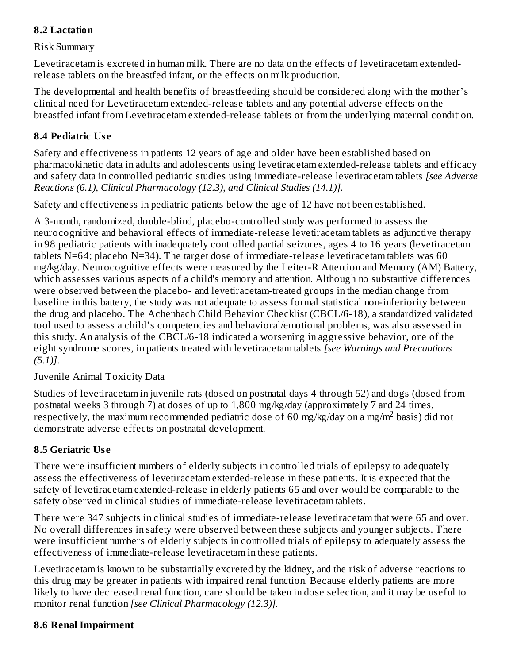### **8.2 Lactation**

#### Risk Summary

Levetiracetam is excreted in human milk. There are no data on the effects of levetiracetam extendedrelease tablets on the breastfed infant, or the effects on milk production.

The developmental and health benefits of breastfeeding should be considered along with the mother's clinical need for Levetiracetam extended-release tablets and any potential adverse effects on the breastfed infant from Levetiracetam extended-release tablets or from the underlying maternal condition.

### **8.4 Pediatric Us e**

Safety and effectiveness in patients 12 years of age and older have been established based on pharmacokinetic data in adults and adolescents using levetiracetam extended-release tablets and efficacy and safety data in controlled pediatric studies using immediate-release levetiracetam tablets *[see Adverse Reactions (6.1), Clinical Pharmacology (12.3), and Clinical Studies (14.1)].*

Safety and effectiveness in pediatric patients below the age of 12 have not been established.

A 3-month, randomized, double-blind, placebo-controlled study was performed to assess the neurocognitive and behavioral effects of immediate-release levetiracetam tablets as adjunctive therapy in 98 pediatric patients with inadequately controlled partial seizures, ages 4 to 16 years (levetiracetam tablets N=64; placebo N=34). The target dose of immediate-release levetiracetam tablets was 60 mg/kg/day. Neurocognitive effects were measured by the Leiter-R Attention and Memory (AM) Battery, which assesses various aspects of a child's memory and attention. Although no substantive differences were observed between the placebo- and levetiracetam-treated groups in the median change from baseline in this battery, the study was not adequate to assess formal statistical non-inferiority between the drug and placebo. The Achenbach Child Behavior Checklist (CBCL/6-18), a standardized validated tool used to assess a child's competencies and behavioral/emotional problems, was also assessed in this study. An analysis of the CBCL/6-18 indicated a worsening in aggressive behavior, one of the eight syndrome scores, in patients treated with levetiracetam tablets *[see Warnings and Precautions (5.1)]*.

#### Juvenile Animal Toxicity Data

Studies of levetiracetam in juvenile rats (dosed on postnatal days 4 through 52) and dogs (dosed from postnatal weeks 3 through 7) at doses of up to 1,800 mg/kg/day (approximately 7 and 24 times, respectively, the maximum recommended pediatric dose of 60 mg/kg/day on a mg/m<sup>2</sup> basis) did not demonstrate adverse effects on postnatal development.

### **8.5 Geriatric Us e**

There were insufficient numbers of elderly subjects in controlled trials of epilepsy to adequately assess the effectiveness of levetiracetam extended-release in these patients. It is expected that the safety of levetiracetam extended-release in elderly patients 65 and over would be comparable to the safety observed in clinical studies of immediate-release levetiracetam tablets.

There were 347 subjects in clinical studies of immediate-release levetiracetam that were 65 and over. No overall differences in safety were observed between these subjects and younger subjects. There were insufficient numbers of elderly subjects in controlled trials of epilepsy to adequately assess the effectiveness of immediate-release levetiracetam in these patients.

Levetiracetam is known to be substantially excreted by the kidney, and the risk of adverse reactions to this drug may be greater in patients with impaired renal function. Because elderly patients are more likely to have decreased renal function, care should be taken in dose selection, and it may be useful to monitor renal function *[see Clinical Pharmacology (12.3)].*

### **8.6 Renal Impairment**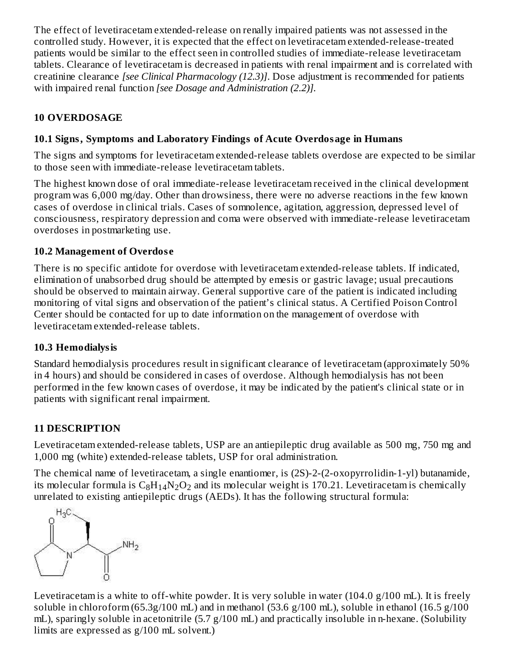The effect of levetiracetam extended-release on renally impaired patients was not assessed in the controlled study. However, it is expected that the effect on levetiracetam extended-release-treated patients would be similar to the effect seen in controlled studies of immediate-release levetiracetam tablets. Clearance of levetiracetam is decreased in patients with renal impairment and is correlated with creatinine clearance *[see Clinical Pharmacology (12.3)]*. Dose adjustment is recommended for patients with impaired renal function *[see Dosage and Administration (2.2)].*

### **10 OVERDOSAGE**

### **10.1 Signs, Symptoms and Laboratory Findings of Acute Overdosage in Humans**

The signs and symptoms for levetiracetam extended-release tablets overdose are expected to be similar to those seen with immediate-release levetiracetam tablets.

The highest known dose of oral immediate-release levetiracetam received in the clinical development program was 6,000 mg/day. Other than drowsiness, there were no adverse reactions in the few known cases of overdose in clinical trials. Cases of somnolence, agitation, aggression, depressed level of consciousness, respiratory depression and coma were observed with immediate-release levetiracetam overdoses in postmarketing use.

### **10.2 Management of Overdos e**

There is no specific antidote for overdose with levetiracetam extended-release tablets. If indicated, elimination of unabsorbed drug should be attempted by emesis or gastric lavage; usual precautions should be observed to maintain airway. General supportive care of the patient is indicated including monitoring of vital signs and observation of the patient's clinical status. A Certified Poison Control Center should be contacted for up to date information on the management of overdose with levetiracetam extended-release tablets.

### **10.3 Hemodialysis**

Standard hemodialysis procedures result in significant clearance of levetiracetam (approximately 50% in 4 hours) and should be considered in cases of overdose. Although hemodialysis has not been performed in the few known cases of overdose, it may be indicated by the patient's clinical state or in patients with significant renal impairment.

## **11 DESCRIPTION**

Levetiracetam extended-release tablets, USP are an antiepileptic drug available as 500 mg, 750 mg and 1,000 mg (white) extended-release tablets, USP for oral administration.

The chemical name of levetiracetam, a single enantiomer, is (2S)-2-(2-oxopyrrolidin-1-yl) butanamide, its molecular formula is  $\rm{C_8H_{14}N_2O_2}$  and its molecular weight is 170.21. Levetiracetam is chemically unrelated to existing antiepileptic drugs (AEDs). It has the following structural formula:



Levetiracetam is a white to off-white powder. It is very soluble in water (104.0 g/100 mL). It is freely soluble in chloroform (65.3g/100 mL) and in methanol (53.6 g/100 mL), soluble in ethanol (16.5 g/100 mL), sparingly soluble in acetonitrile  $(5.7 g/100 mL)$  and practically insoluble in n-hexane. (Solubility limits are expressed as g/100 mL solvent.)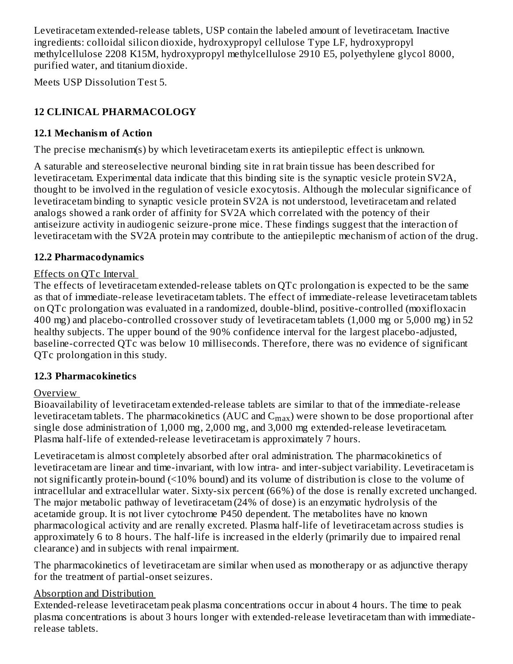Levetiracetam extended-release tablets, USP contain the labeled amount of levetiracetam. Inactive ingredients: colloidal silicon dioxide, hydroxypropyl cellulose Type LF, hydroxypropyl methylcellulose 2208 K15M, hydroxypropyl methylcellulose 2910 E5, polyethylene glycol 8000, purified water, and titanium dioxide.

Meets USP Dissolution Test 5.

## **12 CLINICAL PHARMACOLOGY**

### **12.1 Mechanism of Action**

The precise mechanism(s) by which levetiracetam exerts its antiepileptic effect is unknown.

A saturable and stereoselective neuronal binding site in rat brain tissue has been described for levetiracetam. Experimental data indicate that this binding site is the synaptic vesicle protein SV2A, thought to be involved in the regulation of vesicle exocytosis. Although the molecular significance of levetiracetam binding to synaptic vesicle protein SV2A is not understood, levetiracetam and related analogs showed a rank order of affinity for SV2A which correlated with the potency of their antiseizure activity in audiogenic seizure-prone mice. These findings suggest that the interaction of levetiracetam with the SV2A protein may contribute to the antiepileptic mechanism of action of the drug.

### **12.2 Pharmacodynamics**

### Effects on QTc Interval

The effects of levetiracetam extended-release tablets on QTc prolongation is expected to be the same as that of immediate-release levetiracetam tablets. The effect of immediate-release levetiracetam tablets on QTc prolongation was evaluated in a randomized, double-blind, positive-controlled (moxifloxacin 400 mg) and placebo-controlled crossover study of levetiracetam tablets (1,000 mg or 5,000 mg) in 52 healthy subjects. The upper bound of the 90% confidence interval for the largest placebo-adjusted, baseline-corrected QTc was below 10 milliseconds. Therefore, there was no evidence of significant QTc prolongation in this study.

### **12.3 Pharmacokinetics**

### Overview

Bioavailability of levetiracetam extended-release tablets are similar to that of the immediate-release levetiracetam tablets. The pharmacokinetics (AUC and  $\rm{C_{max}}$ ) were shown to be dose proportional after single dose administration of 1,000 mg, 2,000 mg, and 3,000 mg extended-release levetiracetam. Plasma half-life of extended-release levetiracetam is approximately 7 hours.

Levetiracetam is almost completely absorbed after oral administration. The pharmacokinetics of levetiracetam are linear and time-invariant, with low intra- and inter-subject variability. Levetiracetam is not significantly protein-bound (<10% bound) and its volume of distribution is close to the volume of intracellular and extracellular water. Sixty-six percent (66%) of the dose is renally excreted unchanged. The major metabolic pathway of levetiracetam (24% of dose) is an enzymatic hydrolysis of the acetamide group. It is not liver cytochrome P450 dependent. The metabolites have no known pharmacological activity and are renally excreted. Plasma half-life of levetiracetam across studies is approximately 6 to 8 hours. The half-life is increased in the elderly (primarily due to impaired renal clearance) and in subjects with renal impairment.

The pharmacokinetics of levetiracetam are similar when used as monotherapy or as adjunctive therapy for the treatment of partial-onset seizures.

### Absorption and Distribution

Extended-release levetiracetam peak plasma concentrations occur in about 4 hours. The time to peak plasma concentrations is about 3 hours longer with extended-release levetiracetam than with immediaterelease tablets.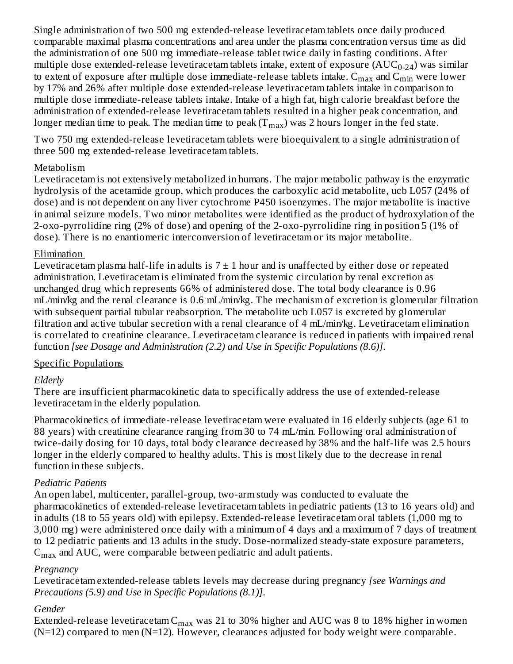Single administration of two 500 mg extended-release levetiracetam tablets once daily produced comparable maximal plasma concentrations and area under the plasma concentration versus time as did the administration of one 500 mg immediate-release tablet twice daily in fasting conditions. After multiple dose extended-release levetiracetam tablets intake, extent of exposure ( $\mathrm{AUC_{0\text{-}24}}$ ) was similar to extent of exposure after multiple dose immediate-release tablets intake.  $\rm{C_{max}}$  and  $\rm{C_{min}}$  were lower by 17% and 26% after multiple dose extended-release levetiracetam tablets intake in comparison to multiple dose immediate-release tablets intake. Intake of a high fat, high calorie breakfast before the administration of extended-release levetiracetam tablets resulted in a higher peak concentration, and longer median time to peak. The median time to peak (T $_{\rm max}$ ) was 2 hours longer in the fed state.

Two 750 mg extended-release levetiracetam tablets were bioequivalent to a single administration of three 500 mg extended-release levetiracetam tablets.

### Metabolism

Levetiracetam is not extensively metabolized in humans. The major metabolic pathway is the enzymatic hydrolysis of the acetamide group, which produces the carboxylic acid metabolite, ucb L057 (24% of dose) and is not dependent on any liver cytochrome P450 isoenzymes. The major metabolite is inactive in animal seizure models. Two minor metabolites were identified as the product of hydroxylation of the 2-oxo-pyrrolidine ring (2% of dose) and opening of the 2-oxo-pyrrolidine ring in position 5 (1% of dose). There is no enantiomeric interconversion of levetiracetam or its major metabolite.

### Elimination

Levetiracetam plasma half-life in adults is  $7 \pm 1$  hour and is unaffected by either dose or repeated administration. Levetiracetam is eliminated from the systemic circulation by renal excretion as unchanged drug which represents 66% of administered dose. The total body clearance is 0.96 mL/min/kg and the renal clearance is 0.6 mL/min/kg. The mechanism of excretion is glomerular filtration with subsequent partial tubular reabsorption. The metabolite ucb L057 is excreted by glomerular filtration and active tubular secretion with a renal clearance of 4 mL/min/kg. Levetiracetam elimination is correlated to creatinine clearance. Levetiracetam clearance is reduced in patients with impaired renal function *[see Dosage and Administration (2.2) and Use in Specific Populations (8.6)]*.

### Specific Populations

### *Elderly*

There are insufficient pharmacokinetic data to specifically address the use of extended-release levetiracetam in the elderly population.

Pharmacokinetics of immediate-release levetiracetam were evaluated in 16 elderly subjects (age 61 to 88 years) with creatinine clearance ranging from 30 to 74 mL/min. Following oral administration of twice-daily dosing for 10 days, total body clearance decreased by 38% and the half-life was 2.5 hours longer in the elderly compared to healthy adults. This is most likely due to the decrease in renal function in these subjects.

### *Pediatric Patients*

An open label, multicenter, parallel-group, two-arm study was conducted to evaluate the pharmacokinetics of extended-release levetiracetam tablets in pediatric patients (13 to 16 years old) and in adults (18 to 55 years old) with epilepsy. Extended-release levetiracetam oral tablets (1,000 mg to 3,000 mg) were administered once daily with a minimum of 4 days and a maximum of 7 days of treatment to 12 pediatric patients and 13 adults in the study. Dose-normalized steady-state exposure parameters,  $\rm{C_{max}}$  and AUC, were comparable between pediatric and adult patients.

#### *Pregnancy*

Levetiracetam extended-release tablets levels may decrease during pregnancy *[see Warnings and Precautions (5.9) and Use in Specific Populations (8.1)]*.

### *Gender*

Extended-release levetiracetam $\rm C_{max}$  was 21 to 30% higher and AUC was 8 to 18% higher in women  $(N=12)$  compared to men  $(N=12)$ . However, clearances adjusted for body weight were comparable.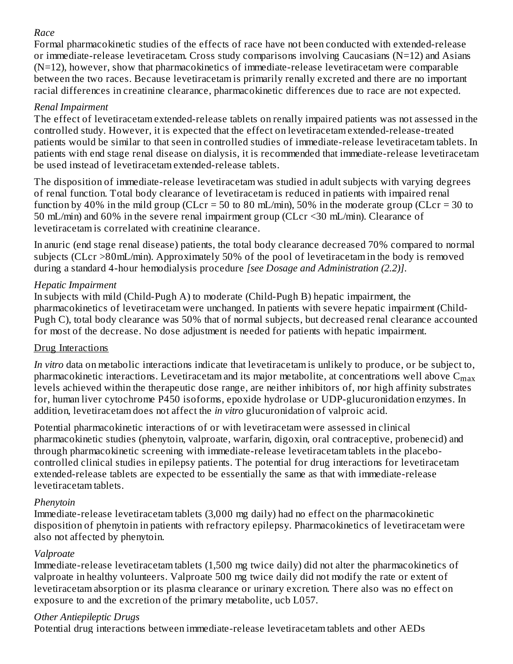### *Race*

Formal pharmacokinetic studies of the effects of race have not been conducted with extended-release or immediate-release levetiracetam. Cross study comparisons involving Caucasians (N=12) and Asians  $(N=12)$ , however, show that pharmacokinetics of immediate-release levetiracetam were comparable between the two races. Because levetiracetam is primarily renally excreted and there are no important racial differences in creatinine clearance, pharmacokinetic differences due to race are not expected.

### *Renal Impairment*

The effect of levetiracetam extended-release tablets on renally impaired patients was not assessed in the controlled study. However, it is expected that the effect on levetiracetam extended-release-treated patients would be similar to that seen in controlled studies of immediate-release levetiracetam tablets. In patients with end stage renal disease on dialysis, it is recommended that immediate-release levetiracetam be used instead of levetiracetam extended-release tablets.

The disposition of immediate-release levetiracetam was studied in adult subjects with varying degrees of renal function. Total body clearance of levetiracetam is reduced in patients with impaired renal function by 40% in the mild group (CLcr = 50 to 80 mL/min), 50% in the moderate group (CLcr = 30 to 50 mL/min) and 60% in the severe renal impairment group (CLcr <30 mL/min). Clearance of levetiracetam is correlated with creatinine clearance.

In anuric (end stage renal disease) patients, the total body clearance decreased 70% compared to normal subjects (CLcr >80mL/min). Approximately 50% of the pool of levetiracetam in the body is removed during a standard 4-hour hemodialysis procedure *[see Dosage and Administration (2.2)]*.

### *Hepatic Impairment*

In subjects with mild (Child-Pugh A) to moderate (Child-Pugh B) hepatic impairment, the pharmacokinetics of levetiracetam were unchanged. In patients with severe hepatic impairment (Child-Pugh C), total body clearance was 50% that of normal subjects, but decreased renal clearance accounted for most of the decrease. No dose adjustment is needed for patients with hepatic impairment.

### Drug Interactions

*In vitro* data on metabolic interactions indicate that levetiracetam is unlikely to produce, or be subject to, pharmacokinetic interactions. Levetiracetam and its major metabolite, at concentrations well above  $\mathsf{C}_{\max}$ levels achieved within the therapeutic dose range, are neither inhibitors of, nor high affinity substrates for, human liver cytochrome P450 isoforms, epoxide hydrolase or UDP-glucuronidation enzymes. In addition, levetiracetam does not affect the *in vitro* glucuronidation of valproic acid.

Potential pharmacokinetic interactions of or with levetiracetam were assessed in clinical pharmacokinetic studies (phenytoin, valproate, warfarin, digoxin, oral contraceptive, probenecid) and through pharmacokinetic screening with immediate-release levetiracetam tablets in the placebocontrolled clinical studies in epilepsy patients. The potential for drug interactions for levetiracetam extended-release tablets are expected to be essentially the same as that with immediate-release levetiracetam tablets.

### *Phenytoin*

Immediate-release levetiracetam tablets (3,000 mg daily) had no effect on the pharmacokinetic disposition of phenytoin in patients with refractory epilepsy. Pharmacokinetics of levetiracetam were also not affected by phenytoin.

### *Valproate*

Immediate-release levetiracetam tablets (1,500 mg twice daily) did not alter the pharmacokinetics of valproate in healthy volunteers. Valproate 500 mg twice daily did not modify the rate or extent of levetiracetam absorption or its plasma clearance or urinary excretion. There also was no effect on exposure to and the excretion of the primary metabolite, ucb L057.

### *Other Antiepileptic Drugs*

Potential drug interactions between immediate-release levetiracetam tablets and other AEDs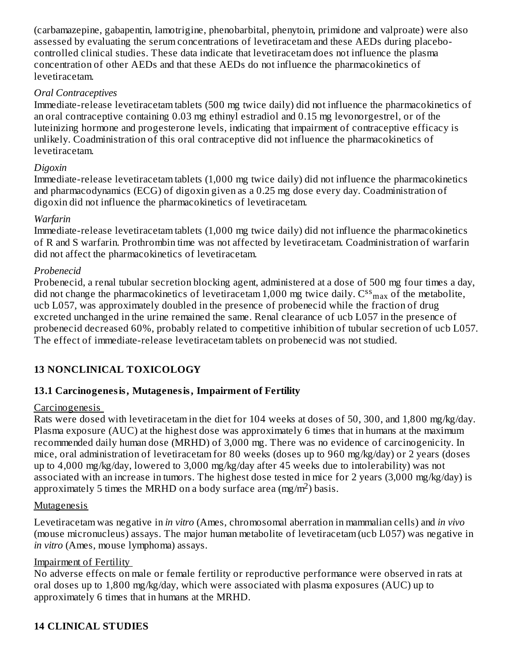(carbamazepine, gabapentin, lamotrigine, phenobarbital, phenytoin, primidone and valproate) were also assessed by evaluating the serum concentrations of levetiracetam and these AEDs during placebocontrolled clinical studies. These data indicate that levetiracetam does not influence the plasma concentration of other AEDs and that these AEDs do not influence the pharmacokinetics of levetiracetam.

#### *Oral Contraceptives*

Immediate-release levetiracetam tablets (500 mg twice daily) did not influence the pharmacokinetics of an oral contraceptive containing 0.03 mg ethinyl estradiol and 0.15 mg levonorgestrel, or of the luteinizing hormone and progesterone levels, indicating that impairment of contraceptive efficacy is unlikely. Coadministration of this oral contraceptive did not influence the pharmacokinetics of levetiracetam.

#### *Digoxin*

Immediate-release levetiracetam tablets (1,000 mg twice daily) did not influence the pharmacokinetics and pharmacodynamics (ECG) of digoxin given as a 0.25 mg dose every day. Coadministration of digoxin did not influence the pharmacokinetics of levetiracetam.

#### *Warfarin*

Immediate-release levetiracetam tablets (1,000 mg twice daily) did not influence the pharmacokinetics of R and S warfarin. Prothrombin time was not affected by levetiracetam. Coadministration of warfarin did not affect the pharmacokinetics of levetiracetam.

#### *Probenecid*

Probenecid, a renal tubular secretion blocking agent, administered at a dose of 500 mg four times a day, did not change the pharmacokinetics of levetiracetam 1,000 mg twice daily.  $\text{C^{ss}}_{\text{max}}$  of the metabolite, ucb L057, was approximately doubled in the presence of probenecid while the fraction of drug excreted unchanged in the urine remained the same. Renal clearance of ucb L057 in the presence of probenecid decreased 60%, probably related to competitive inhibition of tubular secretion of ucb L057. The effect of immediate-release levetiracetam tablets on probenecid was not studied.

### **13 NONCLINICAL TOXICOLOGY**

#### **13.1 Carcinogenesis, Mutagenesis, Impairment of Fertility**

#### **Carcinogenesis**

Rats were dosed with levetiracetam in the diet for 104 weeks at doses of 50, 300, and 1,800 mg/kg/day. Plasma exposure (AUC) at the highest dose was approximately 6 times that in humans at the maximum recommended daily human dose (MRHD) of 3,000 mg. There was no evidence of carcinogenicity. In mice, oral administration of levetiracetam for 80 weeks (doses up to 960 mg/kg/day) or 2 years (doses up to 4,000 mg/kg/day, lowered to 3,000 mg/kg/day after 45 weeks due to intolerability) was not associated with an increase in tumors. The highest dose tested in mice for 2 years (3,000 mg/kg/day) is approximately 5 times the MRHD on a body surface area (mg/m<sup>2</sup>) basis.

#### Mutagenesis

Levetiracetam was negative in *in vitro* (Ames, chromosomal aberration in mammalian cells) and *in vivo* (mouse micronucleus) assays. The major human metabolite of levetiracetam (ucb L057) was negative in *in vitro* (Ames, mouse lymphoma) assays.

#### Impairment of Fertility

No adverse effects on male or female fertility or reproductive performance were observed in rats at oral doses up to 1,800 mg/kg/day, which were associated with plasma exposures (AUC) up to approximately 6 times that in humans at the MRHD.

#### **14 CLINICAL STUDIES**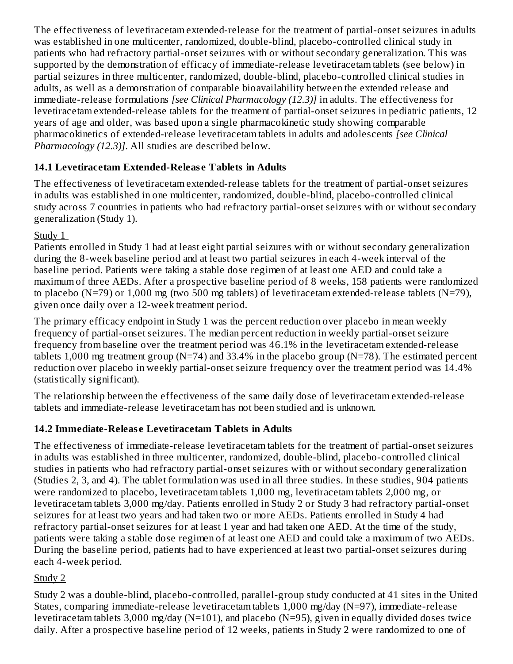The effectiveness of levetiracetam extended-release for the treatment of partial-onset seizures in adults was established in one multicenter, randomized, double-blind, placebo-controlled clinical study in patients who had refractory partial-onset seizures with or without secondary generalization. This was supported by the demonstration of efficacy of immediate-release levetiracetam tablets (see below) in partial seizures in three multicenter, randomized, double-blind, placebo-controlled clinical studies in adults, as well as a demonstration of comparable bioavailability between the extended release and immediate-release formulations *[see Clinical Pharmacology (12.3)]* in adults. The effectiveness for levetiracetam extended-release tablets for the treatment of partial-onset seizures in pediatric patients, 12 years of age and older, was based upon a single pharmacokinetic study showing comparable pharmacokinetics of extended-release levetiracetam tablets in adults and adolescents *[see Clinical Pharmacology (12.3)]*. All studies are described below.

### **14.1 Levetiracetam Extended-Releas e Tablets in Adults**

The effectiveness of levetiracetam extended-release tablets for the treatment of partial-onset seizures in adults was established in one multicenter, randomized, double-blind, placebo-controlled clinical study across 7 countries in patients who had refractory partial-onset seizures with or without secondary generalization (Study 1).

Study 1

Patients enrolled in Study 1 had at least eight partial seizures with or without secondary generalization during the 8-week baseline period and at least two partial seizures in each 4-week interval of the baseline period. Patients were taking a stable dose regimen of at least one AED and could take a maximum of three AEDs. After a prospective baseline period of 8 weeks, 158 patients were randomized to placebo (N=79) or 1,000 mg (two 500 mg tablets) of levetiracetam extended-release tablets (N=79), given once daily over a 12-week treatment period.

The primary efficacy endpoint in Study 1 was the percent reduction over placebo in mean weekly frequency of partial-onset seizures. The median percent reduction in weekly partial-onset seizure frequency from baseline over the treatment period was 46.1% in the levetiracetam extended-release tablets 1,000 mg treatment group (N=74) and 33.4% in the placebo group (N=78). The estimated percent reduction over placebo in weekly partial-onset seizure frequency over the treatment period was 14.4% (statistically significant).

The relationship between the effectiveness of the same daily dose of levetiracetam extended-release tablets and immediate-release levetiracetam has not been studied and is unknown.

## **14.2 Immediate-Releas e Levetiracetam Tablets in Adults**

The effectiveness of immediate-release levetiracetam tablets for the treatment of partial-onset seizures in adults was established in three multicenter, randomized, double-blind, placebo-controlled clinical studies in patients who had refractory partial-onset seizures with or without secondary generalization (Studies 2, 3, and 4). The tablet formulation was used in all three studies. In these studies, 904 patients were randomized to placebo, levetiracetam tablets 1,000 mg, levetiracetam tablets 2,000 mg, or levetiracetam tablets 3,000 mg/day. Patients enrolled in Study 2 or Study 3 had refractory partial-onset seizures for at least two years and had taken two or more AEDs. Patients enrolled in Study 4 had refractory partial-onset seizures for at least 1 year and had taken one AED. At the time of the study, patients were taking a stable dose regimen of at least one AED and could take a maximum of two AEDs. During the baseline period, patients had to have experienced at least two partial-onset seizures during each 4-week period.

## Study 2

Study 2 was a double-blind, placebo-controlled, parallel-group study conducted at 41 sites in the United States, comparing immediate-release levetiracetam tablets 1,000 mg/day (N=97), immediate-release levetiracetam tablets 3,000 mg/day (N=101), and placebo (N=95), given in equally divided doses twice daily. After a prospective baseline period of 12 weeks, patients in Study 2 were randomized to one of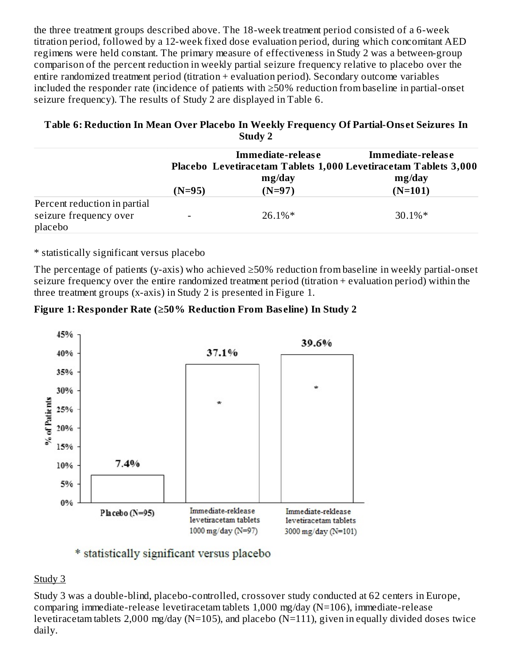the three treatment groups described above. The 18-week treatment period consisted of a 6-week titration period, followed by a 12-week fixed dose evaluation period, during which concomitant AED regimens were held constant. The primary measure of effectiveness in Study 2 was a between-group comparison of the percent reduction in weekly partial seizure frequency relative to placebo over the entire randomized treatment period (titration + evaluation period). Secondary outcome variables included the responder rate (incidence of patients with ≥50% reduction from baseline in partial-onset seizure frequency). The results of Study 2 are displayed in Table 6.

#### **Table 6: Reduction In Mean Over Placebo In Weekly Frequency Of Partial-Ons et Seizures In Study 2**

|                                                                   |          | Immediate-release | Immediate-release<br>Placebo Levetiracetam Tablets 1,000 Levetiracetam Tablets 3,000 |  |
|-------------------------------------------------------------------|----------|-------------------|--------------------------------------------------------------------------------------|--|
|                                                                   |          | mg/day            | mg/day                                                                               |  |
|                                                                   | $(N=95)$ | $(N=97)$          | $(N=101)$                                                                            |  |
| Percent reduction in partial<br>seizure frequency over<br>placebo |          | $26.1\%*$         | $30.1\%*$                                                                            |  |

\* statistically significant versus placebo

The percentage of patients (y-axis) who achieved ≥50% reduction from baseline in weekly partial-onset seizure frequency over the entire randomized treatment period (titration + evaluation period) within the three treatment groups (x-axis) in Study 2 is presented in Figure 1.





### \* statistically significant versus placebo

#### Study 3

Study 3 was a double-blind, placebo-controlled, crossover study conducted at 62 centers in Europe, comparing immediate-release levetiracetam tablets 1,000 mg/day (N=106), immediate-release levetiracetam tablets 2,000 mg/day (N=105), and placebo (N=111), given in equally divided doses twice daily.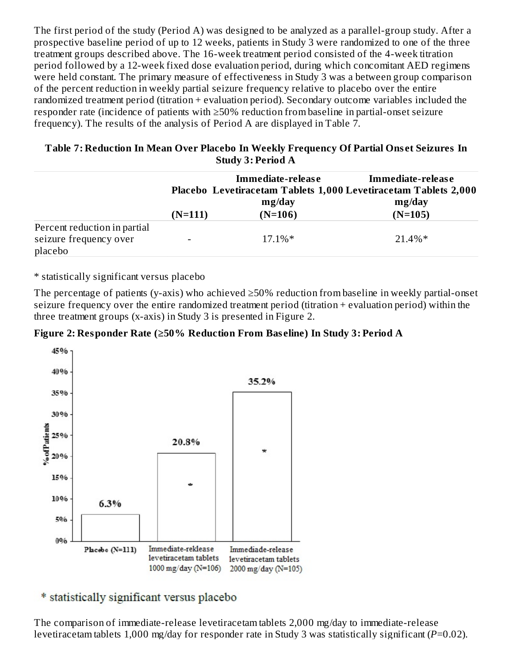The first period of the study (Period A) was designed to be analyzed as a parallel-group study. After a prospective baseline period of up to 12 weeks, patients in Study 3 were randomized to one of the three treatment groups described above. The 16-week treatment period consisted of the 4-week titration period followed by a 12-week fixed dose evaluation period, during which concomitant AED regimens were held constant. The primary measure of effectiveness in Study 3 was a between group comparison of the percent reduction in weekly partial seizure frequency relative to placebo over the entire randomized treatment period (titration + evaluation period). Secondary outcome variables included the responder rate (incidence of patients with ≥50% reduction from baseline in partial-onset seizure frequency). The results of the analysis of Period A are displayed in Table 7.

#### **Table 7: Reduction In Mean Over Placebo In Weekly Frequency Of Partial Ons et Seizures In Study 3: Period A**

|                                                                   |           | Immediate-release<br>mg/day | Immediate-release<br>Placebo Levetiracetam Tablets 1,000 Levetiracetam Tablets 2,000<br>mg/day |  |
|-------------------------------------------------------------------|-----------|-----------------------------|------------------------------------------------------------------------------------------------|--|
|                                                                   | $(N=111)$ | $(N=106)$                   | $(N=105)$                                                                                      |  |
| Percent reduction in partial<br>seizure frequency over<br>placebo |           | $17.1\%*$                   | $21.4\%*$                                                                                      |  |

\* statistically significant versus placebo

The percentage of patients (y-axis) who achieved ≥50% reduction from baseline in weekly partial-onset seizure frequency over the entire randomized treatment period (titration + evaluation period) within the three treatment groups (x-axis) in Study 3 is presented in Figure 2.





\* statistically significant versus placebo

The comparison of immediate-release levetiracetam tablets 2,000 mg/day to immediate-release levetiracetam tablets 1,000 mg/day for responder rate in Study 3 was statistically significant (*P*=0.02).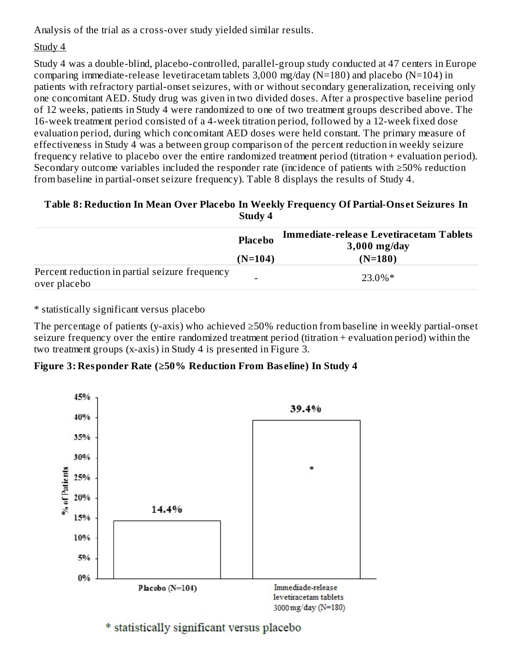Analysis of the trial as a cross-over study yielded similar results.

### Study 4

Study 4 was a double-blind, placebo-controlled, parallel-group study conducted at 47 centers in Europe comparing immediate-release levetiracetam tablets  $3,000$  mg/day (N=180) and placebo (N=104) in patients with refractory partial-onset seizures, with or without secondary generalization, receiving only one concomitant AED. Study drug was given in two divided doses. After a prospective baseline period of 12 weeks, patients in Study 4 were randomized to one of two treatment groups described above. The 16-week treatment period consisted of a 4-week titration period, followed by a 12-week fixed dose evaluation period, during which concomitant AED doses were held constant. The primary measure of effectiveness in Study 4 was a between group comparison of the percent reduction in weekly seizure frequency relative to placebo over the entire randomized treatment period (titration + evaluation period). Secondary outcome variables included the responder rate (incidence of patients with ≥50% reduction from baseline in partial-onset seizure frequency). Table 8 displays the results of Study 4.

### **Table 8: Reduction In Mean Over Placebo In Weekly Frequency Of Partial-Ons et Seizures In Study 4**

|                                                                | <b>Placebo</b> | <b>Immediate-release Levetiracetam Tablets</b><br>$3,000$ mg/day |
|----------------------------------------------------------------|----------------|------------------------------------------------------------------|
|                                                                | $(N=104)$      | $(N=180)$                                                        |
| Percent reduction in partial seizure frequency<br>over placebo | -              | $23.0\%*$                                                        |

\* statistically significant versus placebo

The percentage of patients (y-axis) who achieved ≥50% reduction from baseline in weekly partial-onset seizure frequency over the entire randomized treatment period (titration + evaluation period) within the two treatment groups (x-axis) in Study 4 is presented in Figure 3.

**Figure 3: Responder Rate (≥50% Reduction From Bas eline) In Study 4**



\* statistically significant versus placebo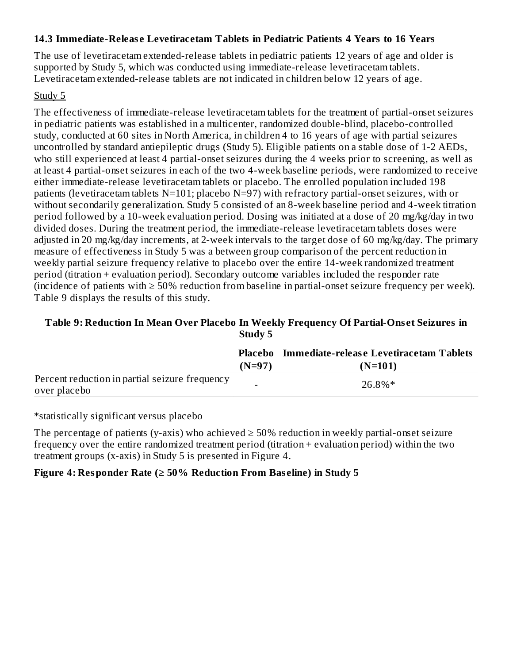#### **14.3 Immediate-Releas e Levetiracetam Tablets in Pediatric Patients 4 Years to 16 Years**

The use of levetiracetam extended-release tablets in pediatric patients 12 years of age and older is supported by Study 5, which was conducted using immediate-release levetiracetam tablets. Levetiracetam extended-release tablets are not indicated in children below 12 years of age.

#### Study 5

The effectiveness of immediate-release levetiracetam tablets for the treatment of partial-onset seizures in pediatric patients was established in a multicenter, randomized double-blind, placebo-controlled study, conducted at 60 sites in North America, in children 4 to 16 years of age with partial seizures uncontrolled by standard antiepileptic drugs (Study 5). Eligible patients on a stable dose of 1-2 AEDs, who still experienced at least 4 partial-onset seizures during the 4 weeks prior to screening, as well as at least 4 partial-onset seizures in each of the two 4-week baseline periods, were randomized to receive either immediate-release levetiracetam tablets or placebo. The enrolled population included 198 patients (levetiracetam tablets N=101; placebo N=97) with refractory partial-onset seizures, with or without secondarily generalization. Study 5 consisted of an 8-week baseline period and 4-week titration period followed by a 10-week evaluation period. Dosing was initiated at a dose of 20 mg/kg/day in two divided doses. During the treatment period, the immediate-release levetiracetam tablets doses were adjusted in 20 mg/kg/day increments, at 2-week intervals to the target dose of 60 mg/kg/day. The primary measure of effectiveness in Study 5 was a between group comparison of the percent reduction in weekly partial seizure frequency relative to placebo over the entire 14-week randomized treatment period (titration + evaluation period). Secondary outcome variables included the responder rate (incidence of patients with  $\geq 50\%$  reduction from baseline in partial-onset seizure frequency per week). Table 9 displays the results of this study.

#### **Table 9: Reduction In Mean Over Placebo In Weekly Frequency Of Partial-Ons et Seizures in Study 5**

|                                                                | $(N=97)$ | <b>Placebo</b> Immediate-release Levetiracetam Tablets<br>$(N=101)$ |
|----------------------------------------------------------------|----------|---------------------------------------------------------------------|
| Percent reduction in partial seizure frequency<br>over placebo | -        | 26.8%*                                                              |

\*statistically significant versus placebo

The percentage of patients (y-axis) who achieved  $\geq$  50% reduction in weekly partial-onset seizure frequency over the entire randomized treatment period (titration + evaluation period) within the two treatment groups (x-axis) in Study 5 is presented in Figure 4.

#### **Figure 4: Responder Rate (≥ 50% Reduction From Bas eline) in Study 5**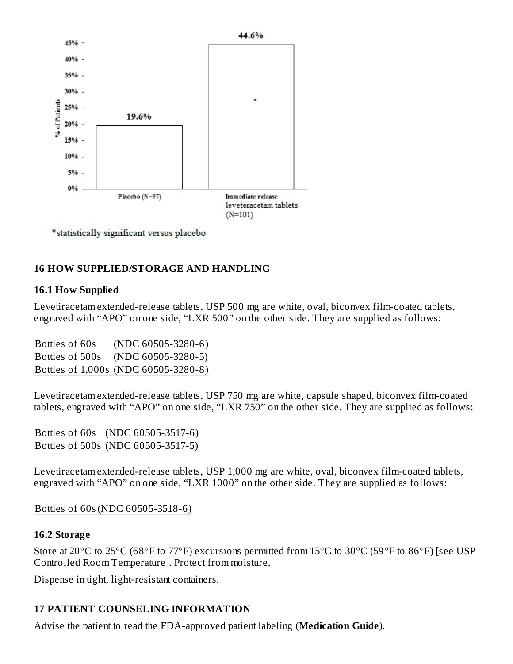

\*statistically significant versus placebo

#### **16 HOW SUPPLIED/STORAGE AND HANDLING**

#### **16.1 How Supplied**

Levetiracetam extended-release tablets, USP 500 mg are white, oval, biconvex film-coated tablets, engraved with "APO" on one side, "LXR 500" on the other side. They are supplied as follows:

Bottles of 60s (NDC 60505-3280-6) Bottles of 500s (NDC 60505-3280-5) Bottles of 1,000s (NDC 60505-3280-8)

Levetiracetam extended-release tablets, USP 750 mg are white, capsule shaped, biconvex film-coated tablets, engraved with "APO" on one side, "LXR 750" on the other side. They are supplied as follows:

Bottles of 60s (NDC 60505-3517-6) Bottles of 500s (NDC 60505-3517-5)

Levetiracetam extended-release tablets, USP 1,000 mg are white, oval, biconvex film-coated tablets, engraved with "APO" on one side, "LXR 1000" on the other side. They are supplied as follows:

#### Bottles of 60s(NDC 60505-3518-6)

#### **16.2 Storage**

Store at 20°C to 25°C (68°F to 77°F) excursions permitted from 15°C to 30°C (59°F to 86°F) [see USP Controlled Room Temperature]. Protect from moisture.

Dispense in tight, light-resistant containers.

### **17 PATIENT COUNSELING INFORMATION**

Advise the patient to read the FDA-approved patient labeling (**Medication Guide**).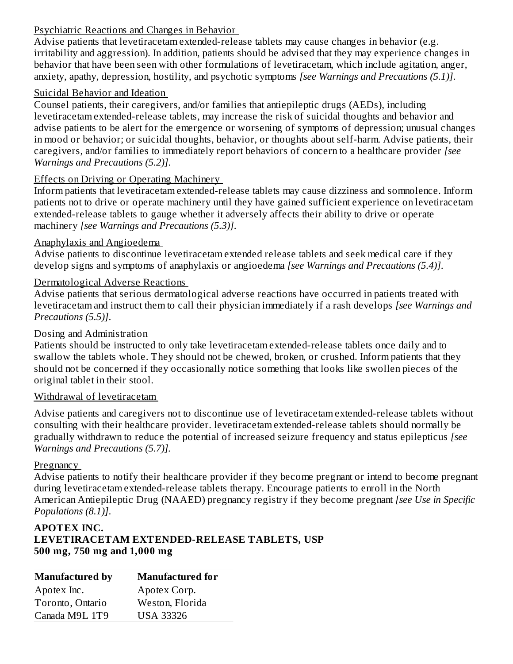### Psychiatric Reactions and Changes in Behavior

Advise patients that levetiracetam extended-release tablets may cause changes in behavior (e.g. irritability and aggression). In addition, patients should be advised that they may experience changes in behavior that have been seen with other formulations of levetiracetam, which include agitation, anger, anxiety, apathy, depression, hostility, and psychotic symptoms *[see Warnings and Precautions (5.1)]*.

#### Suicidal Behavior and Ideation

Counsel patients, their caregivers, and/or families that antiepileptic drugs (AEDs), including levetiracetam extended-release tablets, may increase the risk of suicidal thoughts and behavior and advise patients to be alert for the emergence or worsening of symptoms of depression; unusual changes in mood or behavior; or suicidal thoughts, behavior, or thoughts about self-harm. Advise patients, their caregivers, and/or families to immediately report behaviors of concern to a healthcare provider *[see Warnings and Precautions (5.2)]*.

#### Effects on Driving or Operating Machinery

Inform patients that levetiracetam extended-release tablets may cause dizziness and somnolence. Inform patients not to drive or operate machinery until they have gained sufficient experience on levetiracetam extended-release tablets to gauge whether it adversely affects their ability to drive or operate machinery *[see Warnings and Precautions (5.3)]*.

#### Anaphylaxis and Angioedema

Advise patients to discontinue levetiracetam extended release tablets and seek medical care if they develop signs and symptoms of anaphylaxis or angioedema *[see Warnings and Precautions (5.4)]*.

#### Dermatological Adverse Reactions

Advise patients that serious dermatological adverse reactions have occurred in patients treated with levetiracetam and instruct them to call their physician immediately if a rash develops *[see Warnings and Precautions (5.5)]*.

#### Dosing and Administration

Patients should be instructed to only take levetiracetam extended-release tablets once daily and to swallow the tablets whole. They should not be chewed, broken, or crushed. Inform patients that they should not be concerned if they occasionally notice something that looks like swollen pieces of the original tablet in their stool.

#### Withdrawal of levetiracetam

Advise patients and caregivers not to discontinue use of levetiracetam extended-release tablets without consulting with their healthcare provider. levetiracetam extended-release tablets should normally be gradually withdrawn to reduce the potential of increased seizure frequency and status epilepticus *[see Warnings and Precautions (5.7)].*

#### **Pregnancy**

Advise patients to notify their healthcare provider if they become pregnant or intend to become pregnant during levetiracetam extended-release tablets therapy. Encourage patients to enroll in the North American Antiepileptic Drug (NAAED) pregnancy registry if they become pregnant *[see Use in Specific Populations (8.1)]*.

#### **APOTEX INC. LEVETIRACETAM EXTENDED-RELEASE TABLETS, USP 500 mg, 750 mg and 1,000 mg**

| <b>Manufactured by</b> | <b>Manufactured for</b> |
|------------------------|-------------------------|
| Apotex Inc.            | Apotex Corp.            |
| Toronto, Ontario       | Weston, Florida         |
| Canada M9L 1T9         | USA 33326               |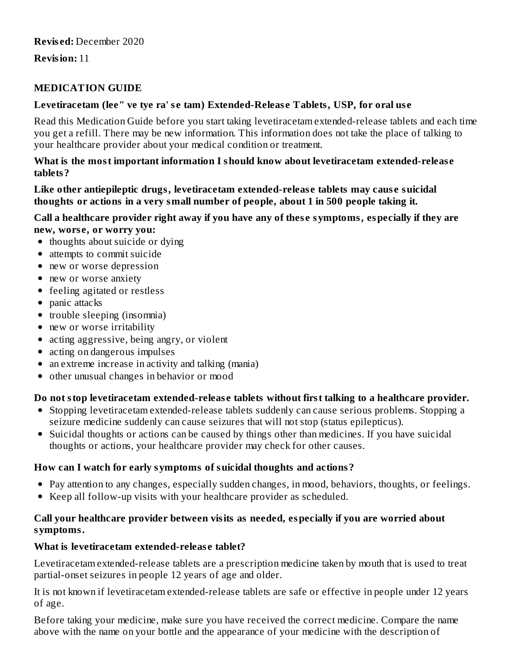**Revision:** 11

### **MEDICATION GUIDE**

#### **Levetiracetam (lee" ve tye ra' s e tam) Extended-Releas e Tablets, USP, for oral us e**

Read this Medication Guide before you start taking levetiracetam extended-release tablets and each time you get a refill. There may be new information. This information does not take the place of talking to your healthcare provider about your medical condition or treatment.

#### **What is the most important information I should know about levetiracetam extended-releas e tablets?**

#### **Like other antiepileptic drugs, levetiracetam extended-releas e tablets may caus e suicidal thoughts or actions in a very small number of people, about 1 in 500 people taking it.**

#### **Call a healthcare provider right away if you have any of thes e symptoms, especially if they are new, wors e, or worry you:**

- thoughts about suicide or dying
- attempts to commit suicide
- new or worse depression
- new or worse anxiety
- feeling agitated or restless
- panic attacks
- trouble sleeping (insomnia)
- new or worse irritability
- acting aggressive, being angry, or violent
- acting on dangerous impulses
- an extreme increase in activity and talking (mania)
- other unusual changes in behavior or mood  $\bullet$

### **Do not stop levetiracetam extended-releas e tablets without first talking to a healthcare provider.**

- Stopping levetiracetam extended-release tablets suddenly can cause serious problems. Stopping a seizure medicine suddenly can cause seizures that will not stop (status epilepticus).
- Suicidal thoughts or actions can be caused by things other than medicines. If you have suicidal thoughts or actions, your healthcare provider may check for other causes.

### **How can I watch for early symptoms of suicidal thoughts and actions?**

- Pay attention to any changes, especially sudden changes, in mood, behaviors, thoughts, or feelings.
- Keep all follow-up visits with your healthcare provider as scheduled.

#### **Call your healthcare provider between visits as needed, especially if you are worried about symptoms.**

#### **What is levetiracetam extended-releas e tablet?**

Levetiracetam extended-release tablets are a prescription medicine taken by mouth that is used to treat partial-onset seizures in people 12 years of age and older.

It is not known if levetiracetam extended-release tablets are safe or effective in people under 12 years of age.

Before taking your medicine, make sure you have received the correct medicine. Compare the name above with the name on your bottle and the appearance of your medicine with the description of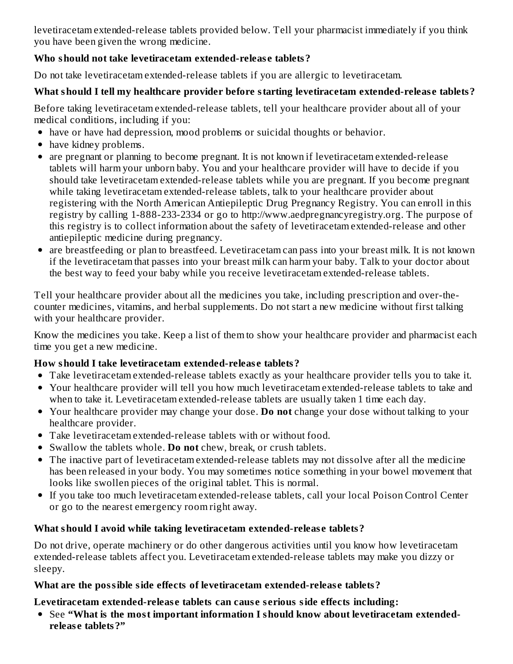levetiracetam extended-release tablets provided below. Tell your pharmacist immediately if you think you have been given the wrong medicine.

### **Who should not take levetiracetam extended-releas e tablets?**

Do not take levetiracetam extended-release tablets if you are allergic to levetiracetam.

### **What should I tell my healthcare provider before starting levetiracetam extended-releas e tablets?**

Before taking levetiracetam extended-release tablets, tell your healthcare provider about all of your medical conditions, including if you:

- have or have had depression, mood problems or suicidal thoughts or behavior.
- have kidney problems.
- are pregnant or planning to become pregnant. It is not known if levetiracetam extended-release tablets will harm your unborn baby. You and your healthcare provider will have to decide if you should take levetiracetam extended-release tablets while you are pregnant. If you become pregnant while taking levetiracetam extended-release tablets, talk to your healthcare provider about registering with the North American Antiepileptic Drug Pregnancy Registry. You can enroll in this registry by calling 1-888-233-2334 or go to http://www.aedpregnancyregistry.org. The purpose of this registry is to collect information about the safety of levetiracetam extended-release and other antiepileptic medicine during pregnancy.
- are breastfeeding or plan to breastfeed. Levetiracetam can pass into your breast milk. It is not known if the levetiracetam that passes into your breast milk can harm your baby. Talk to your doctor about the best way to feed your baby while you receive levetiracetam extended-release tablets.

Tell your healthcare provider about all the medicines you take, including prescription and over-thecounter medicines, vitamins, and herbal supplements. Do not start a new medicine without first talking with your healthcare provider.

Know the medicines you take. Keep a list of them to show your healthcare provider and pharmacist each time you get a new medicine.

### **How should I take levetiracetam extended-releas e tablets?**

- Take levetiracetam extended-release tablets exactly as your healthcare provider tells you to take it.
- Your healthcare provider will tell you how much levetiracetam extended-release tablets to take and when to take it. Levetiracetam extended-release tablets are usually taken 1 time each day.
- Your healthcare provider may change your dose. **Do not** change your dose without talking to your healthcare provider.
- Take levetiracetam extended-release tablets with or without food.
- Swallow the tablets whole. **Do not** chew, break, or crush tablets.
- The inactive part of levetiracetam extended-release tablets may not dissolve after all the medicine has been released in your body. You may sometimes notice something in your bowel movement that looks like swollen pieces of the original tablet. This is normal.
- If you take too much levetiracetam extended-release tablets, call your local Poison Control Center or go to the nearest emergency room right away.

## **What should I avoid while taking levetiracetam extended-releas e tablets?**

Do not drive, operate machinery or do other dangerous activities until you know how levetiracetam extended-release tablets affect you. Levetiracetam extended-release tablets may make you dizzy or sleepy.

### **What are the possible side effects of levetiracetam extended-releas e tablets?**

### **Levetiracetam extended-releas e tablets can caus e s erious side effects including:**

See **"What is the most important information I should know about levetiracetam extendedreleas e tablets?"**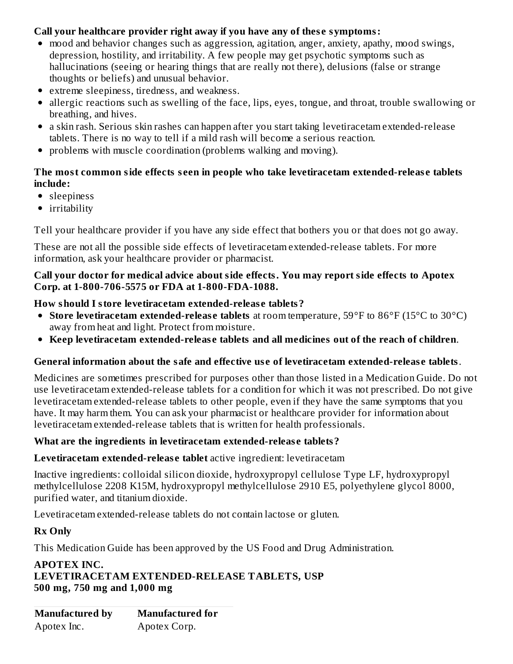### **Call your healthcare provider right away if you have any of thes e symptoms:**

- mood and behavior changes such as aggression, agitation, anger, anxiety, apathy, mood swings, depression, hostility, and irritability. A few people may get psychotic symptoms such as hallucinations (seeing or hearing things that are really not there), delusions (false or strange thoughts or beliefs) and unusual behavior.
- extreme sleepiness, tiredness, and weakness.
- allergic reactions such as swelling of the face, lips, eyes, tongue, and throat, trouble swallowing or breathing, and hives.
- a skin rash. Serious skin rashes can happen after you start taking levetiracetam extended-release tablets. There is no way to tell if a mild rash will become a serious reaction.
- problems with muscle coordination (problems walking and moving).  $\bullet$

### **The most common side effects s een in people who take levetiracetam extended-releas e tablets include:**

- sleepiness
- irritability

Tell your healthcare provider if you have any side effect that bothers you or that does not go away.

These are not all the possible side effects of levetiracetam extended-release tablets. For more information, ask your healthcare provider or pharmacist.

#### **Call your doctor for medical advice about side effects. You may report side effects to Apotex Corp. at 1-800-706-5575 or FDA at 1-800-FDA-1088.**

#### **How should I store levetiracetam extended-releas e tablets?**

- **Store levetiracetam extended-releas e tablets** at room temperature, 59°F to 86°F (15°C to 30°C) away from heat and light. Protect from moisture.
- **Keep levetiracetam extended-releas e tablets and all medicines out of the reach of children**.

#### **General information about the safe and effective us e of levetiracetam extended-releas e tablets**.

Medicines are sometimes prescribed for purposes other than those listed in a Medication Guide. Do not use levetiracetam extended-release tablets for a condition for which it was not prescribed. Do not give levetiracetam extended-release tablets to other people, even if they have the same symptoms that you have. It may harm them. You can ask your pharmacist or healthcare provider for information about levetiracetam extended-release tablets that is written for health professionals.

#### **What are the ingredients in levetiracetam extended-releas e tablets?**

#### **Levetiracetam extended-releas e tablet** active ingredient: levetiracetam

Inactive ingredients: colloidal silicon dioxide, hydroxypropyl cellulose Type LF, hydroxypropyl methylcellulose 2208 K15M, hydroxypropyl methylcellulose 2910 E5, polyethylene glycol 8000, purified water, and titanium dioxide.

Levetiracetam extended-release tablets do not contain lactose or gluten.

#### **Rx Only**

This Medication Guide has been approved by the US Food and Drug Administration.

#### **APOTEX INC. LEVETIRACETAM EXTENDED-RELEASE TABLETS, USP 500 mg, 750 mg and 1,000 mg**

| Manufactured by | <b>Manufactured for</b> |
|-----------------|-------------------------|
| Apotex Inc.     | Apotex Corp.            |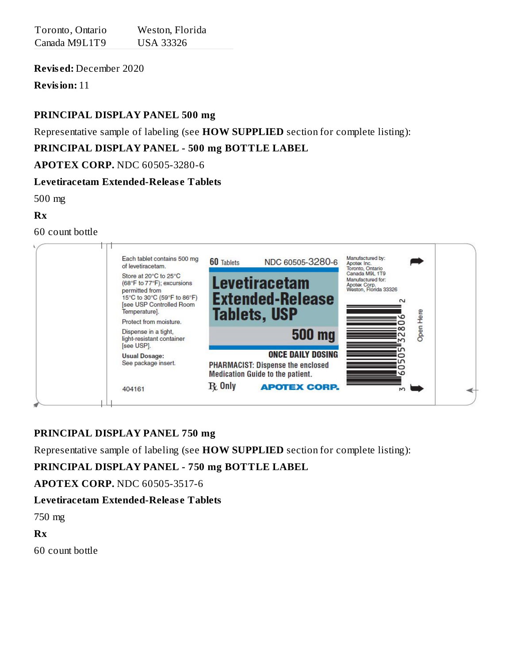| Toronto, Ontario | Weston, Florida  |
|------------------|------------------|
| Canada M9L1T9    | <b>USA 33326</b> |

**Revis ed:** December 2020

**Revision:** 11

### **PRINCIPAL DISPLAY PANEL 500 mg**

Representative sample of labeling (see **HOW SUPPLIED** section for complete listing):

### **PRINCIPAL DISPLAY PANEL - 500 mg BOTTLE LABEL**

#### **APOTEX CORP.** NDC 60505-3280-6

### **Levetiracetam Extended-Releas e Tablets**

500 mg

#### **Rx**

60 count bottle

| Each tablet contains 500 mg<br>of levetiracetam.                                                                                                         | 60 Tablets                                                                          | NDC 60505-3280-6         | Manufactured by:<br>Apotex Inc.<br>Toronto, Ontario                                    |      |  |
|----------------------------------------------------------------------------------------------------------------------------------------------------------|-------------------------------------------------------------------------------------|--------------------------|----------------------------------------------------------------------------------------|------|--|
| Store at 20°C to 25°C<br>(68°F to 77°F); excursions<br>permitted from<br>15°C to 30°C (59°F to 86°F)<br><b>Isee USP Controlled Room</b><br>Temperature]. | <b>Levetiracetam</b><br><b>Extended-Release</b><br><b>Tablets, USP</b>              |                          | Canada M9L 1T9<br>Manufactured for:<br>Apotex Corp.<br>Weston, Florida 33326<br>$\sim$ |      |  |
| Protect from moisture.                                                                                                                                   |                                                                                     |                          |                                                                                        | Here |  |
| Dispense in a tight,<br>light-resistant container<br>[see USP].                                                                                          |                                                                                     | <b>500 mg</b>            |                                                                                        | Open |  |
| <b>Usual Dosage:</b><br>See package insert.                                                                                                              | <b>PHARMACIST: Dispense the enclosed</b><br><b>Medication Guide to the patient.</b> | <b>ONCE DAILY DOSING</b> |                                                                                        |      |  |
| 404161                                                                                                                                                   | $\mathbf R$ Only                                                                    | <b>APOTEX CORP.</b>      | N)                                                                                     |      |  |

### **PRINCIPAL DISPLAY PANEL 750 mg**

Representative sample of labeling (see **HOW SUPPLIED** section for complete listing):

### **PRINCIPAL DISPLAY PANEL - 750 mg BOTTLE LABEL**

**APOTEX CORP.** NDC 60505-3517-6

#### **Levetiracetam Extended-Releas e Tablets**

750 mg

**Rx**

60 count bottle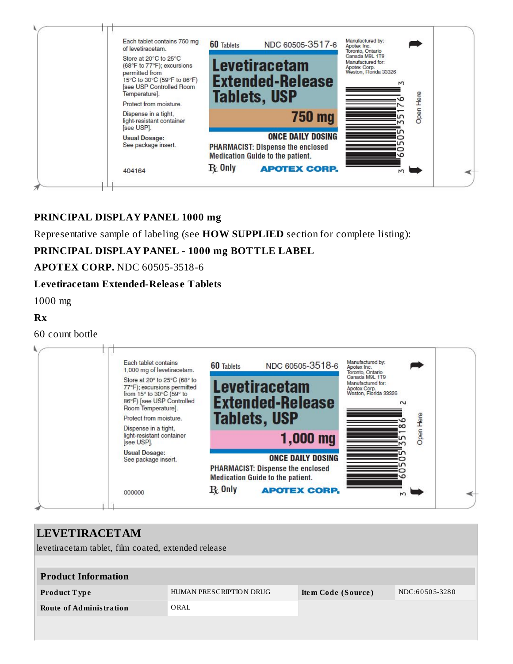

#### **PRINCIPAL DISPLAY PANEL 1000 mg**

Representative sample of labeling (see **HOW SUPPLIED** section for complete listing):

### **PRINCIPAL DISPLAY PANEL - 1000 mg BOTTLE LABEL**

#### **APOTEX CORP.** NDC 60505-3518-6

#### **Levetiracetam Extended-Releas e Tablets**

1000 mg

#### **Rx**

60 count bottle

| Each tablet contains<br>1,000 mg of levetiracetam.                                                                                         | <b>60 Tablets</b> | NDC 60505-3518-6                                                                                                | Manufactured by:<br>Apotex Inc.<br>Toronto, Ontario<br>Canada M9L 1T9 |      |
|--------------------------------------------------------------------------------------------------------------------------------------------|-------------------|-----------------------------------------------------------------------------------------------------------------|-----------------------------------------------------------------------|------|
| Store at 20° to 25°C (68° to<br>77°F); excursions permitted<br>from 15° to 30°C (59° to<br>86°F) [see USP Controlled<br>Room Temperature]. |                   | <b>Levetiracetam</b><br><b>Extended-Release</b>                                                                 | Manufactured for:<br>Apotex Corp.<br>Weston, Florida 33326<br>$\sim$  |      |
| Protect from moisture.                                                                                                                     |                   | <b>Tablets, USP</b>                                                                                             |                                                                       | Here |
| Dispense in a tight,<br>light-resistant container<br>[see USP].                                                                            |                   | $1,000$ mg                                                                                                      |                                                                       | Open |
| <b>Usual Dosage:</b><br>See package insert.                                                                                                |                   | <b>ONCE DAILY DOSING</b><br><b>PHARMACIST: Dispense the enclosed</b><br><b>Medication Guide to the patient.</b> |                                                                       |      |
| 000000                                                                                                                                     | $\mathbf{R}$ Only | <b>APOTEX CORP.</b>                                                                                             | M                                                                     |      |

| <b>LEVETIRACETAM</b>                                |                         |                    |                |
|-----------------------------------------------------|-------------------------|--------------------|----------------|
| levetiracetam tablet, film coated, extended release |                         |                    |                |
|                                                     |                         |                    |                |
| <b>Product Information</b>                          |                         |                    |                |
| Product Type                                        | HUMAN PRESCRIPTION DRUG | Item Code (Source) | NDC:60505-3280 |
| <b>Route of Administration</b>                      | ORAL                    |                    |                |
|                                                     |                         |                    |                |
|                                                     |                         |                    |                |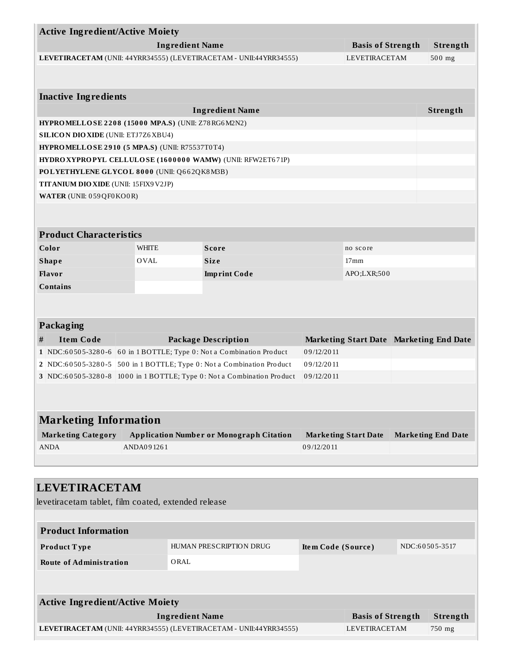| <b>Active Ingredient/Active Moiety</b>                               |                                                            |                        |                                                                        |                    |                                         |  |                           |
|----------------------------------------------------------------------|------------------------------------------------------------|------------------------|------------------------------------------------------------------------|--------------------|-----------------------------------------|--|---------------------------|
|                                                                      |                                                            | <b>Ingredient Name</b> |                                                                        |                    | <b>Basis of Strength</b>                |  | Strength                  |
|                                                                      |                                                            |                        | LEVETIRACETAM (UNII: 44YRR34555) (LEVETIRACETAM - UNII:44YRR34555)     |                    | LEVETIRACETAM                           |  | $500$ mg                  |
|                                                                      |                                                            |                        |                                                                        |                    |                                         |  |                           |
|                                                                      |                                                            |                        |                                                                        |                    |                                         |  |                           |
| <b>Inactive Ingredients</b>                                          |                                                            |                        |                                                                        |                    |                                         |  |                           |
|                                                                      |                                                            |                        | <b>Ingredient Name</b>                                                 |                    |                                         |  | Strength                  |
| HYPROMELLOSE 2208 (15000 MPA.S) (UNII: Z78RG6M2N2)                   |                                                            |                        |                                                                        |                    |                                         |  |                           |
| <b>SILICON DIO XIDE (UNII: ETJ7Z6 XBU4)</b>                          |                                                            |                        |                                                                        |                    |                                         |  |                           |
|                                                                      | HYPROMELLOSE 2910 (5 MPA.S) (UNII: R75537T0T4)             |                        |                                                                        |                    |                                         |  |                           |
|                                                                      | HYDRO XYPROPYL CELLULOSE (1600000 WAMW) (UNII: RFW2ET671P) |                        |                                                                        |                    |                                         |  |                           |
| POLYETHYLENE GLYCOL 8000 (UNII: Q662QK8M3B)                          |                                                            |                        |                                                                        |                    |                                         |  |                           |
| TITANIUM DIO XIDE (UNII: 15FIX9 V2JP)                                |                                                            |                        |                                                                        |                    |                                         |  |                           |
| WATER (UNII: 059QF0KO0R)                                             |                                                            |                        |                                                                        |                    |                                         |  |                           |
|                                                                      |                                                            |                        |                                                                        |                    |                                         |  |                           |
|                                                                      |                                                            |                        |                                                                        |                    |                                         |  |                           |
| <b>Product Characteristics</b>                                       |                                                            |                        |                                                                        |                    |                                         |  |                           |
| Color                                                                | <b>WHITE</b>                                               |                        | <b>Score</b>                                                           |                    | no score                                |  |                           |
| <b>Shape</b>                                                         | <b>OVAL</b>                                                |                        | <b>Size</b>                                                            |                    | 17 <sub>mm</sub>                        |  |                           |
| Flavor                                                               |                                                            |                        | <b>Imprint Code</b>                                                    |                    | APO;LXR;500                             |  |                           |
| <b>Contains</b>                                                      |                                                            |                        |                                                                        |                    |                                         |  |                           |
|                                                                      |                                                            |                        |                                                                        |                    |                                         |  |                           |
|                                                                      |                                                            |                        |                                                                        |                    |                                         |  |                           |
| Packaging                                                            |                                                            |                        |                                                                        |                    |                                         |  |                           |
| <b>Item Code</b><br>#                                                |                                                            |                        | <b>Package Description</b>                                             |                    | Marketing Start Date Marketing End Date |  |                           |
| 1 NDC:60505-3280-6 60 in 1 BOTTLE; Type 0: Not a Combination Product |                                                            |                        |                                                                        | 09/12/2011         |                                         |  |                           |
| 2 NDC:60505-3280-5                                                   |                                                            |                        | 500 in 1 BOTTLE; Type 0: Not a Combination Product                     | 09/12/2011         |                                         |  |                           |
|                                                                      |                                                            |                        | 3 NDC:60505-3280-8 1000 in 1 BOTTLE; Type 0: Not a Combination Product | 09/12/2011         |                                         |  |                           |
|                                                                      |                                                            |                        |                                                                        |                    |                                         |  |                           |
|                                                                      |                                                            |                        |                                                                        |                    |                                         |  |                           |
| <b>Marketing Information</b>                                         |                                                            |                        |                                                                        |                    |                                         |  |                           |
|                                                                      |                                                            |                        |                                                                        |                    |                                         |  |                           |
| <b>Marketing Category</b>                                            |                                                            |                        | <b>Application Number or Monograph Citation</b>                        |                    | <b>Marketing Start Date</b>             |  | <b>Marketing End Date</b> |
| <b>ANDA</b>                                                          | ANDA091261                                                 |                        |                                                                        | 09/12/2011         |                                         |  |                           |
|                                                                      |                                                            |                        |                                                                        |                    |                                         |  |                           |
|                                                                      |                                                            |                        |                                                                        |                    |                                         |  |                           |
| <b>LEVETIRACETAM</b>                                                 |                                                            |                        |                                                                        |                    |                                         |  |                           |
| levetiracetam tablet, film coated, extended release                  |                                                            |                        |                                                                        |                    |                                         |  |                           |
|                                                                      |                                                            |                        |                                                                        |                    |                                         |  |                           |
| <b>Product Information</b>                                           |                                                            |                        |                                                                        |                    |                                         |  |                           |
| Product Type                                                         | HUMAN PRESCRIPTION DRUG                                    |                        |                                                                        | Item Code (Source) |                                         |  | NDC:60505-3517            |
| <b>Route of Administration</b>                                       |                                                            | ORAL                   |                                                                        |                    |                                         |  |                           |
|                                                                      |                                                            |                        |                                                                        |                    |                                         |  |                           |
|                                                                      |                                                            |                        |                                                                        |                    |                                         |  |                           |
| <b>Active Ingredient/Active Moiety</b>                               |                                                            |                        |                                                                        |                    |                                         |  |                           |
|                                                                      |                                                            |                        |                                                                        |                    |                                         |  |                           |
|                                                                      |                                                            | <b>Ingredient Name</b> |                                                                        |                    | <b>Basis of Strength</b>                |  | Strength                  |
|                                                                      |                                                            |                        | LEVETIRACETAM (UNII: 44YRR34555) (LEVETIRACETAM - UNII:44YRR34555)     |                    | LEVETIRACETAM                           |  | 750 mg                    |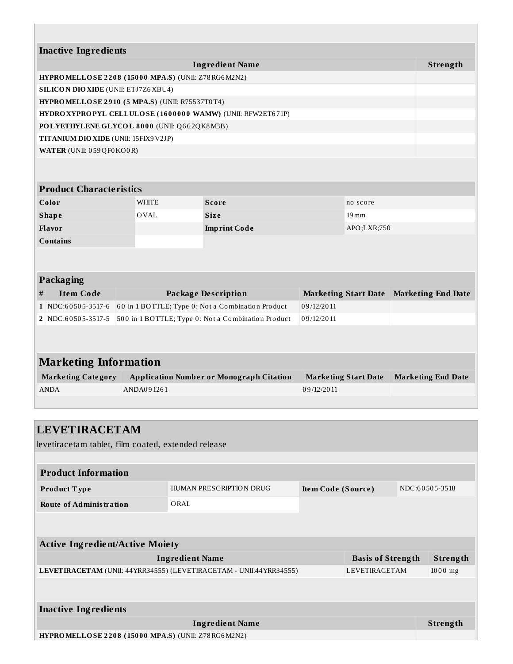| <b>Inactive Ingredients</b>                        |  |              |                                                            |            |                             |                           |
|----------------------------------------------------|--|--------------|------------------------------------------------------------|------------|-----------------------------|---------------------------|
|                                                    |  |              | <b>Ingredient Name</b>                                     |            |                             | Strength                  |
| HYPROMELLOSE 2208 (15000 MPA.S) (UNII: Z78RG6M2N2) |  |              |                                                            |            |                             |                           |
| <b>SILICON DIO XIDE (UNII: ETJ7Z6 XBU4)</b>        |  |              |                                                            |            |                             |                           |
| HYPROMELLOSE 2910 (5 MPA.S) (UNII: R75537T0T4)     |  |              |                                                            |            |                             |                           |
|                                                    |  |              | HYDRO XYPROPYL CELLULOSE (1600000 WAMW) (UNII: RFW2ET671P) |            |                             |                           |
| POLYETHYLENE GLYCOL 8000 (UNII: Q662QK8M3B)        |  |              |                                                            |            |                             |                           |
| TITANIUM DIO XIDE (UNII: 15FIX9V2JP)               |  |              |                                                            |            |                             |                           |
| WATER (UNII: 059 QF0 KO0 R)                        |  |              |                                                            |            |                             |                           |
|                                                    |  |              |                                                            |            |                             |                           |
|                                                    |  |              |                                                            |            |                             |                           |
| <b>Product Characteristics</b>                     |  |              |                                                            |            |                             |                           |
| Color                                              |  | <b>WHITE</b> | <b>Score</b>                                               |            | no score                    |                           |
| <b>Shape</b>                                       |  | <b>OVAL</b>  | <b>Size</b>                                                |            | $19 \,\mathrm{mm}$          |                           |
| Flavor                                             |  |              | <b>Imprint Code</b>                                        |            | APO;LXR;750                 |                           |
| <b>Contains</b>                                    |  |              |                                                            |            |                             |                           |
|                                                    |  |              |                                                            |            |                             |                           |
|                                                    |  |              |                                                            |            |                             |                           |
| Packaging                                          |  |              |                                                            |            |                             |                           |
| <b>Item Code</b><br>#                              |  |              | <b>Package Description</b>                                 |            | <b>Marketing Start Date</b> | <b>Marketing End Date</b> |
| 1 NDC:60505-3517-6                                 |  |              | 60 in 1 BOTTLE; Type 0: Not a Combination Product          | 09/12/2011 |                             |                           |
| 2 NDC:60505-3517-5                                 |  |              | 500 in 1 BOTTLE; Type 0: Not a Combination Product         | 09/12/2011 |                             |                           |
|                                                    |  |              |                                                            |            |                             |                           |
|                                                    |  |              |                                                            |            |                             |                           |
| <b>Marketing Information</b>                       |  |              |                                                            |            |                             |                           |
| <b>Marketing Category</b>                          |  |              | <b>Application Number or Monograph Citation</b>            |            | <b>Marketing Start Date</b> | <b>Marketing End Date</b> |
| <b>ANDA</b>                                        |  | ANDA091261   |                                                            | 09/12/2011 |                             |                           |
|                                                    |  |              |                                                            |            |                             |                           |
|                                                    |  |              |                                                            |            |                             |                           |

| <b>LEVETIRACETAM</b>                                      |                                                                    |                    |                          |                 |
|-----------------------------------------------------------|--------------------------------------------------------------------|--------------------|--------------------------|-----------------|
| levetiracetam tablet, film coated, extended release       |                                                                    |                    |                          |                 |
|                                                           |                                                                    |                    |                          |                 |
| <b>Product Information</b>                                |                                                                    |                    |                          |                 |
| Product Type                                              | HUMAN PRESCRIPTION DRUG                                            | Item Code (Source) |                          | NDC:60505-3518  |
| <b>Route of Administration</b>                            | ORAL                                                               |                    |                          |                 |
|                                                           |                                                                    |                    |                          |                 |
|                                                           |                                                                    |                    |                          |                 |
| <b>Active Ingredient/Active Moiety</b>                    |                                                                    |                    |                          |                 |
|                                                           | <b>Ingredient Name</b>                                             |                    | <b>Basis of Strength</b> | Strength        |
|                                                           | LEVETIRACETAM (UNII: 44YRR34555) (LEVETIRACETAM - UNII:44YRR34555) |                    | <b>LEVETIRACETAM</b>     | $1000$ mg       |
|                                                           |                                                                    |                    |                          |                 |
|                                                           |                                                                    |                    |                          |                 |
| <b>Inactive Ingredients</b>                               |                                                                    |                    |                          |                 |
|                                                           | <b>Ingredient Name</b>                                             |                    |                          | <b>Strength</b> |
| <b>HYPROMELLOSE 2208 (15000 MPA.S) (UNII: Z78RG6M2N2)</b> |                                                                    |                    |                          |                 |

**HYPROMELLOSE 2 2 0 8 ( 150 0 0 MPA.S)** (UNII: Z78RG6M2N2)